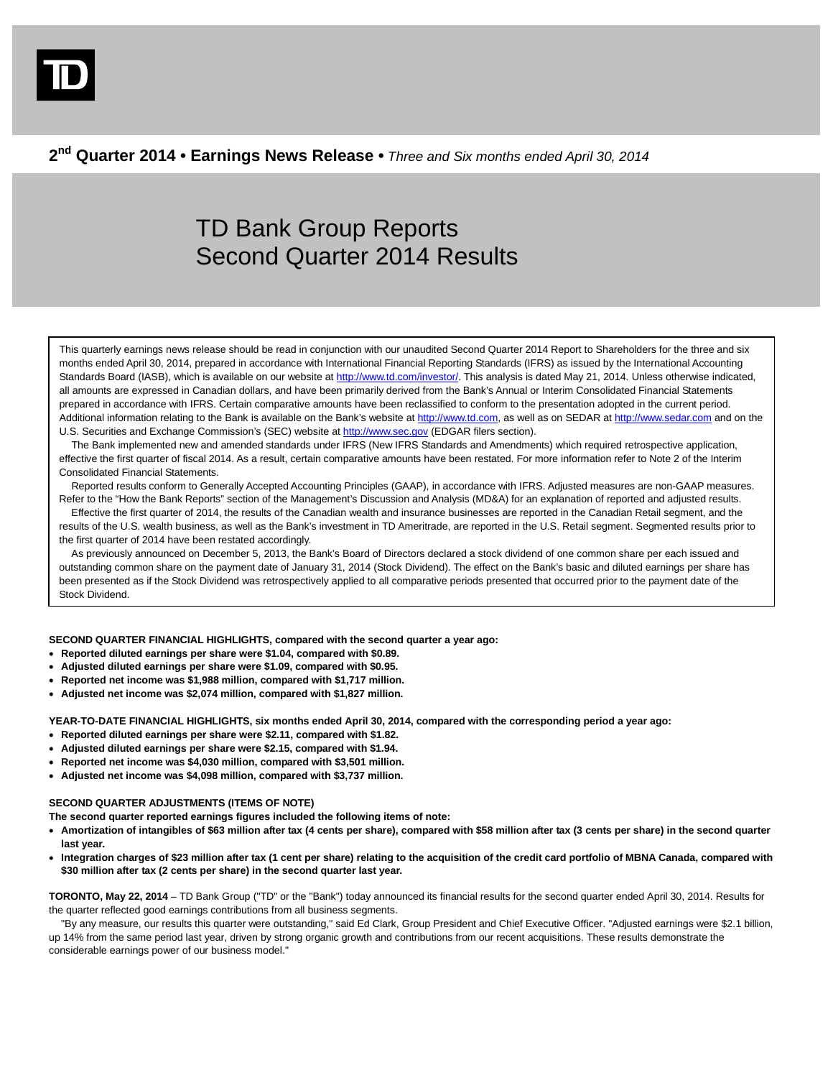

## **2nd Quarter 2014 • Earnings News Release •** *Three and Six months ended April 30, 2014*

# TD Bank Group Reports Second Quarter 2014 Results

This quarterly earnings news release should be read in conjunction with our unaudited Second Quarter 2014 Report to Shareholders for the three and six months ended April 30, 2014, prepared in accordance with International Financial Reporting Standards (IFRS) as issued by the International Accounting Standards Board (IASB), which is available on our website a[t http://www.td.com/investor/.](http://www.td.com/investor/) This analysis is dated May 21, 2014. Unless otherwise indicated, all amounts are expressed in Canadian dollars, and have been primarily derived from the Bank's Annual or Interim Consolidated Financial Statements prepared in accordance with IFRS. Certain comparative amounts have been reclassified to conform to the presentation adopted in the current period. Additional information relating to the Bank is available on the Bank's website a[t http://www.td.com,](http://www.td.com/) as well as on SEDAR at [http://www.sedar.com](http://www.sedar.com/) and on the U.S. Securities and Exchange Commission's (SEC) website a[t http://www.sec.gov](http://www.sec.gov/) (EDGAR filers section).

The Bank implemented new and amended standards under IFRS (New IFRS Standards and Amendments) which required retrospective application, effective the first quarter of fiscal 2014. As a result, certain comparative amounts have been restated. For more information refer to Note 2 of the Interim Consolidated Financial Statements.

Reported results conform to Generally Accepted Accounting Principles (GAAP), in accordance with IFRS. Adjusted measures are non-GAAP measures. Refer to the "How the Bank Reports" section of the Management's Discussion and Analysis (MD&A) for an explanation of reported and adjusted results. Effective the first quarter of 2014, the results of the Canadian wealth and insurance businesses are reported in the Canadian Retail segment, and the

results of the U.S. wealth business, as well as the Bank's investment in TD Ameritrade, are reported in the U.S. Retail segment. Segmented results prior to the first quarter of 2014 have been restated accordingly.

As previously announced on December 5, 2013, the Bank's Board of Directors declared a stock dividend of one common share per each issued and outstanding common share on the payment date of January 31, 2014 (Stock Dividend). The effect on the Bank's basic and diluted earnings per share has been presented as if the Stock Dividend was retrospectively applied to all comparative periods presented that occurred prior to the payment date of the Stock Dividend.

**SECOND QUARTER FINANCIAL HIGHLIGHTS, compared with the second quarter a year ago:**

- **Reported diluted earnings per share were \$1.04, compared with \$0.89.**
- **Adjusted diluted earnings per share were \$1.09, compared with \$0.95.**
- **Reported net income was \$1,988 million, compared with \$1,717 million.**
- **Adjusted net income was \$2,074 million, compared with \$1,827 million.**

**YEAR-TO-DATE FINANCIAL HIGHLIGHTS, six months ended April 30, 2014, compared with the corresponding period a year ago:**

- **Reported diluted earnings per share were \$2.11, compared with \$1.82.**
- **Adjusted diluted earnings per share were \$2.15, compared with \$1.94.**
- **Reported net income was \$4,030 million, compared with \$3,501 million.**
- **Adjusted net income was \$4,098 million, compared with \$3,737 million.**

#### **SECOND QUARTER ADJUSTMENTS (ITEMS OF NOTE)**

**The second quarter reported earnings figures included the following items of note:**

- **Amortization of intangibles of \$63 million after tax (4 cents per share), compared with \$58 million after tax (3 cents per share) in the second quarter last year.**
- **Integration charges of \$23 million after tax (1 cent per share) relating to the acquisition of the credit card portfolio of MBNA Canada, compared with \$30 million after tax (2 cents per share) in the second quarter last year.**

**TORONTO, May 22, 2014** – TD Bank Group ("TD" or the "Bank") today announced its financial results for the second quarter ended April 30, 2014. Results for the quarter reflected good earnings contributions from all business segments.

"By any measure, our results this quarter were outstanding," said Ed Clark, Group President and Chief Executive Officer. "Adjusted earnings were \$2.1 billion, up 14% from the same period last year, driven by strong organic growth and contributions from our recent acquisitions. These results demonstrate the considerable earnings power of our business model."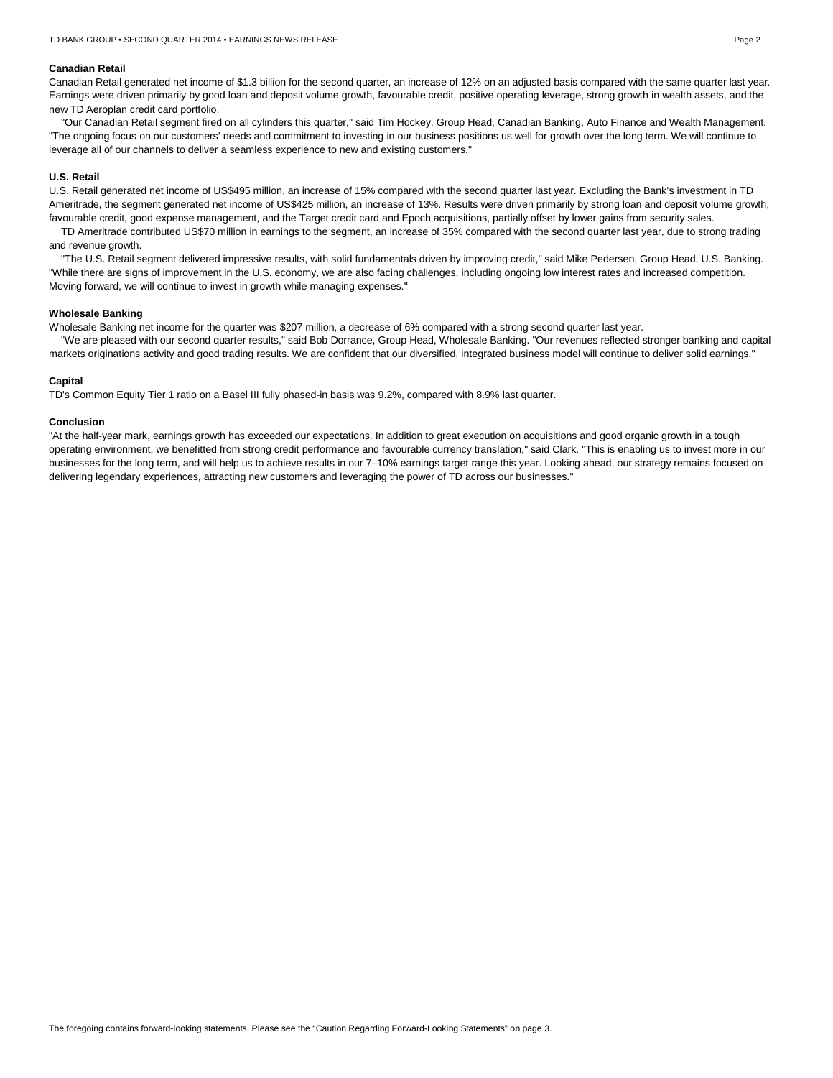#### **Canadian Retail**

Canadian Retail generated net income of \$1.3 billion for the second quarter, an increase of 12% on an adjusted basis compared with the same quarter last year. Earnings were driven primarily by good loan and deposit volume growth, favourable credit, positive operating leverage, strong growth in wealth assets, and the new TD Aeroplan credit card portfolio.

"Our Canadian Retail segment fired on all cylinders this quarter," said Tim Hockey, Group Head, Canadian Banking, Auto Finance and Wealth Management. "The ongoing focus on our customers' needs and commitment to investing in our business positions us well for growth over the long term. We will continue to leverage all of our channels to deliver a seamless experience to new and existing customers."

### **U.S. Retail**

U.S. Retail generated net income of US\$495 million, an increase of 15% compared with the second quarter last year. Excluding the Bank's investment in TD Ameritrade, the segment generated net income of US\$425 million, an increase of 13%. Results were driven primarily by strong loan and deposit volume growth, favourable credit, good expense management, and the Target credit card and Epoch acquisitions, partially offset by lower gains from security sales.

TD Ameritrade contributed US\$70 million in earnings to the segment, an increase of 35% compared with the second quarter last year, due to strong trading and revenue growth.

"The U.S. Retail segment delivered impressive results, with solid fundamentals driven by improving credit," said Mike Pedersen, Group Head, U.S. Banking. "While there are signs of improvement in the U.S. economy, we are also facing challenges, including ongoing low interest rates and increased competition. Moving forward, we will continue to invest in growth while managing expenses."

#### **Wholesale Banking**

Wholesale Banking net income for the quarter was \$207 million, a decrease of 6% compared with a strong second quarter last year.

"We are pleased with our second quarter results," said Bob Dorrance, Group Head, Wholesale Banking. "Our revenues reflected stronger banking and capital markets originations activity and good trading results. We are confident that our diversified, integrated business model will continue to deliver solid earnings."

## **Capital**

TD's Common Equity Tier 1 ratio on a Basel III fully phased-in basis was 9.2%, compared with 8.9% last quarter.

#### **Conclusion**

"At the half-year mark, earnings growth has exceeded our expectations. In addition to great execution on acquisitions and good organic growth in a tough operating environment, we benefitted from strong credit performance and favourable currency translation," said Clark. "This is enabling us to invest more in our businesses for the long term, and will help us to achieve results in our 7–10% earnings target range this year. Looking ahead, our strategy remains focused on delivering legendary experiences, attracting new customers and leveraging the power of TD across our businesses."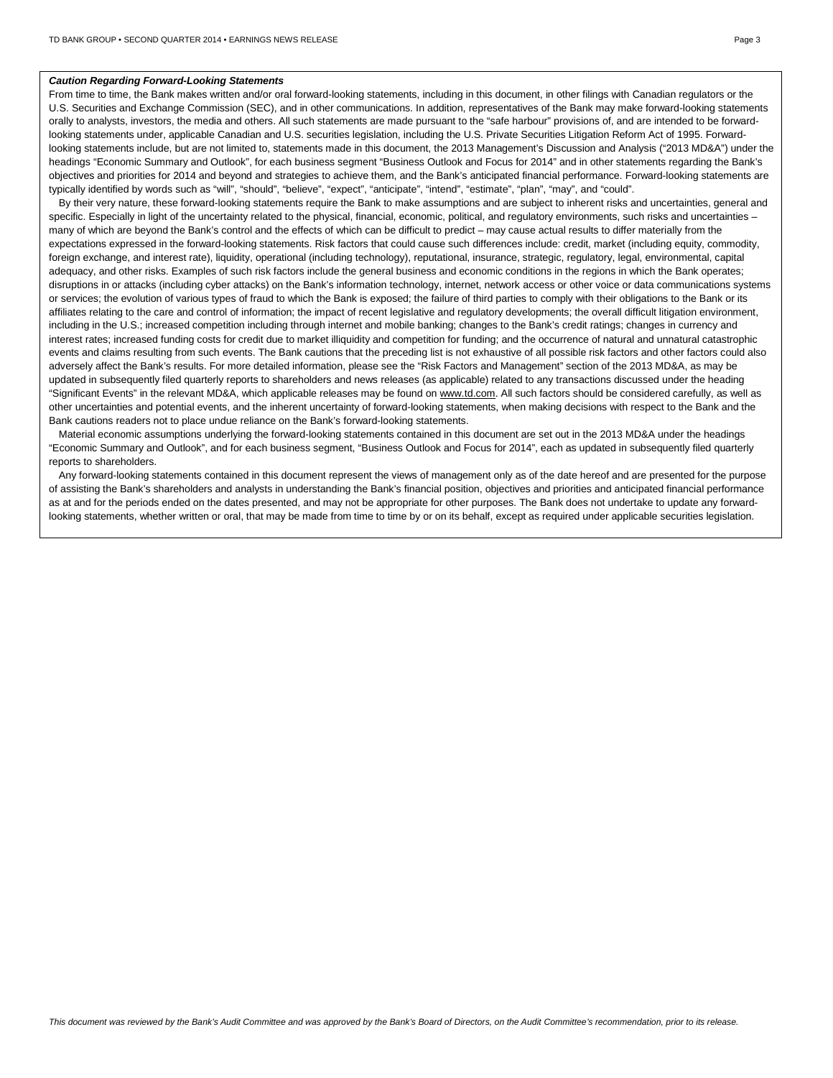#### *Caution Regarding Forward-Looking Statements*

From time to time, the Bank makes written and/or oral forward-looking statements, including in this document, in other filings with Canadian regulators or the U.S. Securities and Exchange Commission (SEC), and in other communications. In addition, representatives of the Bank may make forward-looking statements orally to analysts, investors, the media and others. All such statements are made pursuant to the "safe harbour" provisions of, and are intended to be forwardlooking statements under, applicable Canadian and U.S. securities legislation, including the U.S. Private Securities Litigation Reform Act of 1995. Forwardlooking statements include, but are not limited to, statements made in this document, the 2013 Management's Discussion and Analysis ("2013 MD&A") under the headings "Economic Summary and Outlook", for each business segment "Business Outlook and Focus for 2014" and in other statements regarding the Bank's objectives and priorities for 2014 and beyond and strategies to achieve them, and the Bank's anticipated financial performance. Forward-looking statements are typically identified by words such as "will", "should", "believe", "expect", "anticipate", "intend", "estimate", "plan", "may", and "could".

By their very nature, these forward-looking statements require the Bank to make assumptions and are subject to inherent risks and uncertainties, general and specific. Especially in light of the uncertainty related to the physical, financial, economic, political, and regulatory environments, such risks and uncertainties many of which are beyond the Bank's control and the effects of which can be difficult to predict – may cause actual results to differ materially from the expectations expressed in the forward-looking statements. Risk factors that could cause such differences include: credit, market (including equity, commodity, foreign exchange, and interest rate), liquidity, operational (including technology), reputational, insurance, strategic, regulatory, legal, environmental, capital adequacy, and other risks. Examples of such risk factors include the general business and economic conditions in the regions in which the Bank operates; disruptions in or attacks (including cyber attacks) on the Bank's information technology, internet, network access or other voice or data communications systems or services; the evolution of various types of fraud to which the Bank is exposed; the failure of third parties to comply with their obligations to the Bank or its affiliates relating to the care and control of information; the impact of recent legislative and regulatory developments; the overall difficult litigation environment, including in the U.S.; increased competition including through internet and mobile banking; changes to the Bank's credit ratings; changes in currency and interest rates; increased funding costs for credit due to market illiquidity and competition for funding; and the occurrence of natural and unnatural catastrophic events and claims resulting from such events. The Bank cautions that the preceding list is not exhaustive of all possible risk factors and other factors could also adversely affect the Bank's results. For more detailed information, please see the "Risk Factors and Management" section of the 2013 MD&A, as may be updated in subsequently filed quarterly reports to shareholders and news releases (as applicable) related to any transactions discussed under the heading "Significant Events" in the relevant MD&A, which applicable releases may be found o[n www.td.com.](http://www.td.com/) All such factors should be considered carefully, as well as other uncertainties and potential events, and the inherent uncertainty of forward-looking statements, when making decisions with respect to the Bank and the Bank cautions readers not to place undue reliance on the Bank's forward-looking statements.

Material economic assumptions underlying the forward-looking statements contained in this document are set out in the 2013 MD&A under the headings "Economic Summary and Outlook", and for each business segment, "Business Outlook and Focus for 2014", each as updated in subsequently filed quarterly reports to shareholders.

Any forward-looking statements contained in this document represent the views of management only as of the date hereof and are presented for the purpose of assisting the Bank's shareholders and analysts in understanding the Bank's financial position, objectives and priorities and anticipated financial performance as at and for the periods ended on the dates presented, and may not be appropriate for other purposes. The Bank does not undertake to update any forwardlooking statements, whether written or oral, that may be made from time to time by or on its behalf, except as required under applicable securities legislation.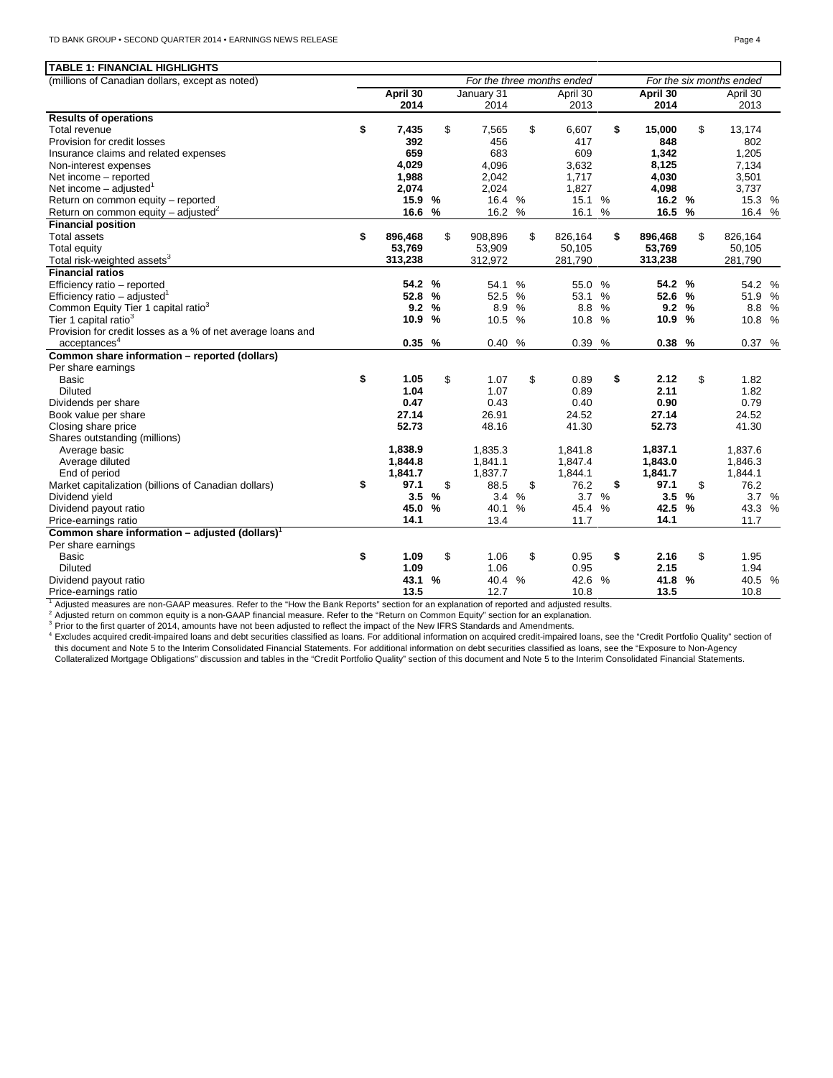| <b>TABLE 1: FINANCIAL HIGHLIGHTS</b>                        |               |    |            |      |                            |      |          |      |                          |  |
|-------------------------------------------------------------|---------------|----|------------|------|----------------------------|------|----------|------|--------------------------|--|
| (millions of Canadian dollars, except as noted)             |               |    |            |      | For the three months ended |      |          |      | For the six months ended |  |
|                                                             | April 30      |    | January 31 |      | April 30                   |      | April 30 |      | April 30                 |  |
|                                                             | 2014          |    | 2014       |      | 2013                       |      | 2014     |      | 2013                     |  |
| <b>Results of operations</b>                                |               |    |            |      |                            |      |          |      |                          |  |
| Total revenue                                               | \$<br>7,435   | \$ | 7.565      | \$   | 6.607                      | \$   | 15,000   | \$   | 13,174                   |  |
| Provision for credit losses                                 | 392           |    | 456        |      | 417                        |      | 848      |      | 802                      |  |
| Insurance claims and related expenses                       | 659           |    | 683        |      | 609                        |      | 1,342    |      | 1,205                    |  |
| Non-interest expenses                                       | 4,029         |    | 4.096      |      | 3,632                      |      | 8,125    |      | 7,134                    |  |
| Net income - reported                                       | 1,988         |    | 2,042      |      | 1.717                      |      | 4.030    |      | 3,501                    |  |
| Net income $-$ adjusted <sup>1</sup>                        | 2,074         |    | 2,024      |      | 1,827                      |      | 4,098    |      | 3,737                    |  |
| Return on common equity - reported                          | 15.9 %        |    | 16.4 %     |      | 15.1 %                     |      | 16.2 %   |      | 15.3 %                   |  |
| Return on common equity – adjusted <sup>2</sup>             | 16.6          | %  | 16.2       | %    | 16.1                       | $\%$ | 16.5     | %    | 16.4 %                   |  |
| <b>Financial position</b>                                   |               |    |            |      |                            |      |          |      |                          |  |
| <b>Total assets</b>                                         | \$<br>896,468 | \$ | 908,896    | \$   | 826,164                    | \$   | 896,468  | \$   | 826,164                  |  |
| <b>Total equity</b>                                         | 53,769        |    | 53,909     |      | 50,105                     |      | 53,769   |      | 50,105                   |  |
| Total risk-weighted assets <sup>3</sup>                     | 313,238       |    | 312,972    |      | 281,790                    |      | 313,238  |      | 281,790                  |  |
| <b>Financial ratios</b>                                     |               |    |            |      |                            |      |          |      |                          |  |
| Efficiency ratio - reported                                 | 54.2          | %  | 54.1       | $\%$ | 55.0                       | $\%$ | 54.2     | $\%$ | 54.2 %                   |  |
| Efficiency ratio – adjusted <sup>1</sup>                    | 52.8          | %  | 52.5       | %    | 53.1                       | %    | 52.6     | %    | 51.9 %                   |  |
| Common Equity Tier 1 capital ratio <sup>3</sup>             | 9.2           | %  | 8.9 %      |      | 8.8                        | %    | 9.2      | %    | 8.8 %                    |  |
| Tier 1 capital ratio <sup>3</sup>                           | 10.9          | %  | 10.5       | %    | 10.8                       | $\%$ | 10.9     | %    | 10.8 %                   |  |
| Provision for credit losses as a % of net average loans and |               |    |            |      |                            |      |          |      |                          |  |
| acceptances <sup>4</sup>                                    | 0.35 %        |    | 0.40%      |      | 0.39                       | %    | 0.38     | %    | 0.37 %                   |  |
| Common share information - reported (dollars)               |               |    |            |      |                            |      |          |      |                          |  |
| Per share earnings                                          |               |    |            |      |                            |      |          |      |                          |  |
| Basic                                                       | \$<br>1.05    | \$ | 1.07       | \$   | 0.89                       | \$   | 2.12     | \$   | 1.82                     |  |
| <b>Diluted</b>                                              | 1.04          |    | 1.07       |      | 0.89                       |      | 2.11     |      | 1.82                     |  |
| Dividends per share                                         | 0.47          |    | 0.43       |      | 0.40                       |      | 0.90     |      | 0.79                     |  |
| Book value per share                                        | 27.14         |    | 26.91      |      | 24.52                      |      | 27.14    |      | 24.52                    |  |
| Closing share price                                         | 52.73         |    | 48.16      |      | 41.30                      |      | 52.73    |      | 41.30                    |  |
| Shares outstanding (millions)                               |               |    |            |      |                            |      |          |      |                          |  |
| Average basic                                               | 1,838.9       |    | 1,835.3    |      | 1,841.8                    |      | 1,837.1  |      | 1,837.6                  |  |
| Average diluted                                             | 1,844.8       |    | 1,841.1    |      | 1,847.4                    |      | 1,843.0  |      | 1,846.3                  |  |
| End of period                                               | 1,841.7       |    | 1,837.7    |      | 1,844.1                    |      | 1,841.7  |      | 1,844.1                  |  |
| Market capitalization (billions of Canadian dollars)        | \$<br>97.1    | \$ | 88.5       | \$   | 76.2                       | \$   | 97.1     | \$   | 76.2                     |  |
| Dividend yield                                              | 3.5           | %  | 3.4        | %    | 3.7%                       |      | 3.5      | %    | 3.7%                     |  |
| Dividend payout ratio                                       | 45.0          | %  | 40.1       | %    | 45.4 %                     |      | 42.5     | %    | 43.3 %                   |  |
| Price-earnings ratio                                        | 14.1          |    | 13.4       |      | 11.7                       |      | 14.1     |      | 11.7                     |  |
| Common share information - adjusted (dollars) <sup>1</sup>  |               |    |            |      |                            |      |          |      |                          |  |
| Per share earnings                                          |               |    |            |      |                            |      |          |      |                          |  |
| Basic                                                       | \$<br>1.09    | \$ | 1.06       | \$   | 0.95                       | \$   | 2.16     | \$   | 1.95                     |  |
| <b>Diluted</b>                                              | 1.09          |    | 1.06       |      | 0.95                       |      | 2.15     |      | 1.94                     |  |
| Dividend payout ratio                                       | 43.1          | %  | 40.4       | $\%$ | 42.6 %                     |      | 41.8     | %    | 40.5 %                   |  |
| Price-earnings ratio                                        | 13.5          |    | 12.7       |      | 10.8                       |      | 13.5     |      | 10.8                     |  |

<sup>1</sup> Adjusted measures are non-GAAP measures. Refer to the "How the Bank Reports" section for an explanation of reported and adjusted results.

<sup>2</sup> Adjusted return on common equity is a non-GAAP financial measure. Refer to the "Return on Common Equity" section for an explanation.<br><sup>3</sup> Prior to the first quarter of 2014, amounts have not been adjusted to reflect the

<sup>4</sup> Excludes acquired credit-impaired loans and debt securities classified as loans. For additional information on acquired credit-impaired loans, see the "Credit Portfolio Quality" section of this document and Note 5 to the Interim Consolidated Financial Statements. For additional information on debt securities classified as loans, see the "Exposure to Non-Agency<br>Collateralized Mortgage Obligations" discussion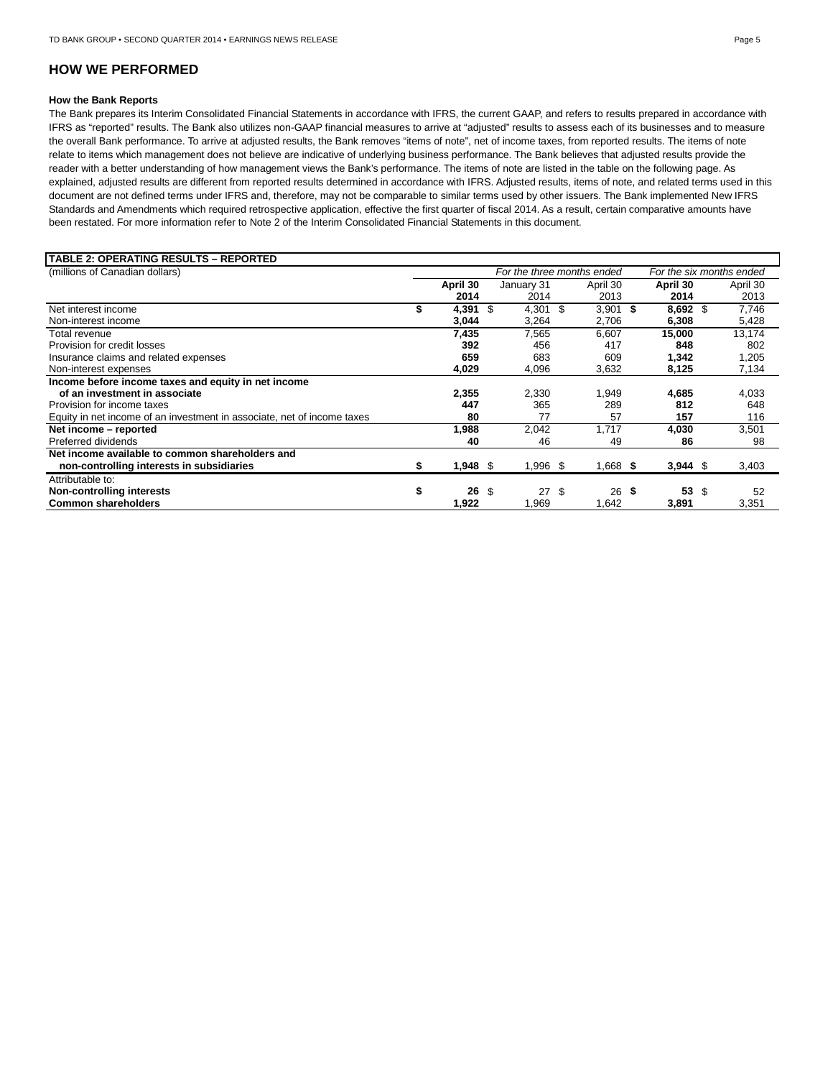## **HOW WE PERFORMED**

#### **How the Bank Reports**

The Bank prepares its Interim Consolidated Financial Statements in accordance with IFRS, the current GAAP, and refers to results prepared in accordance with IFRS as "reported" results. The Bank also utilizes non-GAAP financial measures to arrive at "adjusted" results to assess each of its businesses and to measure the overall Bank performance. To arrive at adjusted results, the Bank removes "items of note", net of income taxes, from reported results. The items of note relate to items which management does not believe are indicative of underlying business performance. The Bank believes that adjusted results provide the reader with a better understanding of how management views the Bank's performance. The items of note are listed in the table on the following page. As explained, adjusted results are different from reported results determined in accordance with IFRS. Adjusted results, items of note, and related terms used in this document are not defined terms under IFRS and, therefore, may not be comparable to similar terms used by other issuers. The Bank implemented New IFRS Standards and Amendments which required retrospective application, effective the first quarter of fiscal 2014. As a result, certain comparative amounts have been restated. For more information refer to Note 2 of the Interim Consolidated Financial Statements in this document.

| <b>TABLE 2: OPERATING RESULTS - REPORTED</b>                            |    |            |                            |      |            |                          |      |          |
|-------------------------------------------------------------------------|----|------------|----------------------------|------|------------|--------------------------|------|----------|
| (millions of Canadian dollars)                                          |    |            | For the three months ended |      |            | For the six months ended |      |          |
|                                                                         |    | April 30   | January 31                 |      | April 30   | April 30                 |      | April 30 |
|                                                                         |    | 2014       | 2014                       |      | 2013       | 2014                     |      | 2013     |
| Net interest income                                                     |    | $4,391$ \$ | $4,301$ \$                 |      | $3,901$ \$ | 8,692                    | - \$ | 7,746    |
| Non-interest income                                                     |    | 3,044      | 3,264                      |      | 2,706      | 6,308                    |      | 5,428    |
| Total revenue                                                           |    | 7,435      | 7,565                      |      | 6,607      | 15,000                   |      | 13,174   |
| Provision for credit losses                                             |    | 392        | 456                        |      | 417        | 848                      |      | 802      |
| Insurance claims and related expenses                                   |    | 659        | 683                        |      | 609        | 1,342                    |      | 1,205    |
| Non-interest expenses                                                   |    | 4,029      | 4,096                      |      | 3,632      | 8,125                    |      | 7,134    |
| Income before income taxes and equity in net income                     |    |            |                            |      |            |                          |      |          |
| of an investment in associate                                           |    | 2,355      | 2,330                      |      | 1,949      | 4,685                    |      | 4,033    |
| Provision for income taxes                                              |    | 447        | 365                        |      | 289        | 812                      |      | 648      |
| Equity in net income of an investment in associate, net of income taxes |    | 80         | 77                         |      | 57         | 157                      |      | 116      |
| Net income – reported                                                   |    | 1,988      | 2,042                      |      | 1.717      | 4,030                    |      | 3,501    |
| Preferred dividends                                                     |    | 40         | 46                         |      | 49         | 86                       |      | 98       |
| Net income available to common shareholders and                         |    |            |                            |      |            |                          |      |          |
| non-controlling interests in subsidiaries                               | æ. | $1,948$ \$ | $1,996$ \$                 |      | $1,668$ \$ | $3,944$ \$               |      | 3,403    |
| Attributable to:                                                        |    |            |                            |      |            |                          |      |          |
| Non-controlling interests                                               | ъ  | 26         | \$<br>27                   | - \$ | 26S        | 53                       | \$   | 52       |
| <b>Common shareholders</b>                                              |    | 1,922      | 1,969                      |      | 1,642      | 3,891                    |      | 3,351    |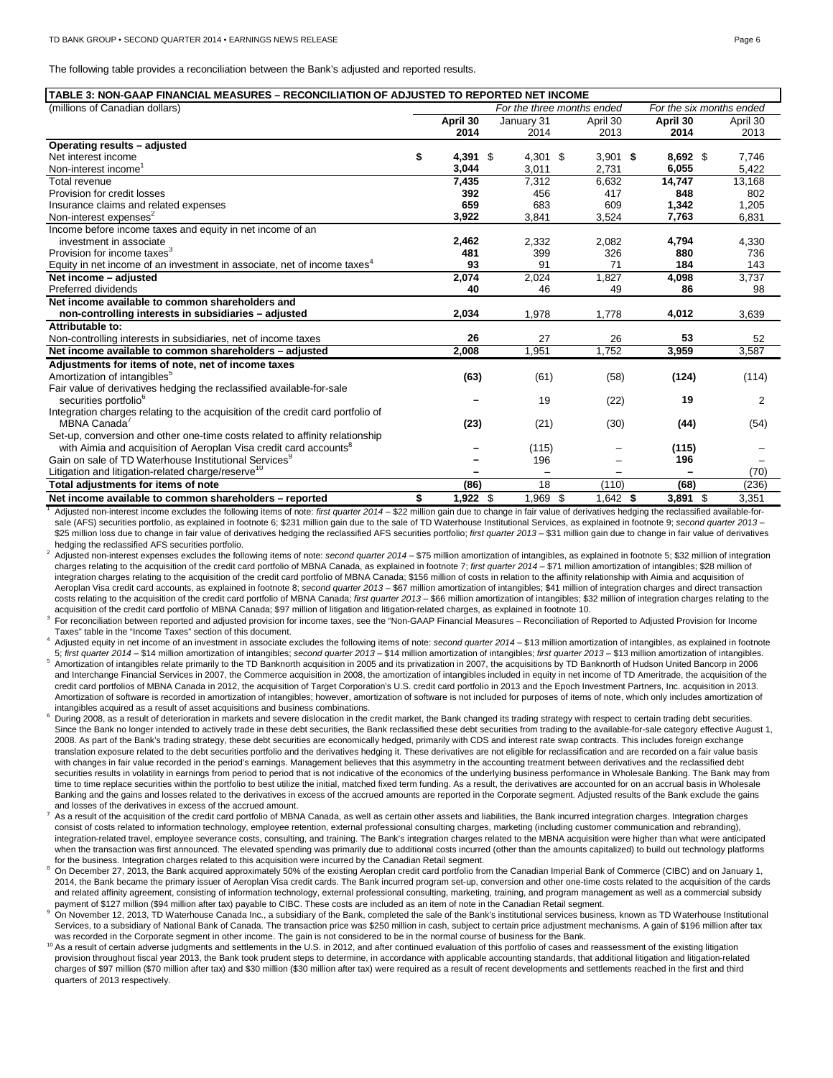The following table provides a reconciliation between the Bank's adjusted and reported results.

#### **TABLE 3: NON-GAAP FINANCIAL MEASURES – RECONCILIATION OF ADJUSTED TO REPORTED NET INCOME**

| (millions of Canadian dollars)                                                       |                  |            | For the three months ended |            | For the six months ended |
|--------------------------------------------------------------------------------------|------------------|------------|----------------------------|------------|--------------------------|
|                                                                                      | April 30         | January 31 | April 30                   | April 30   | April 30                 |
|                                                                                      | 2014             | 2014       | 2013                       | 2014       | 2013                     |
| Operating results - adjusted                                                         |                  |            |                            |            |                          |
| Net interest income                                                                  | 4,391 \$<br>\$   | 4,301 \$   | $3,901$ \$                 | 8,692 \$   | 7.746                    |
| Non-interest income <sup>1</sup>                                                     | 3,044            | 3,011      | 2,731                      | 6,055      | 5,422                    |
| Total revenue                                                                        | 7,435            | 7,312      | 6,632                      | 14,747     | 13,168                   |
| Provision for credit losses                                                          | 392              | 456        | 417                        | 848        | 802                      |
| Insurance claims and related expenses                                                | 659              | 683        | 609                        | 1,342      | 1,205                    |
| Non-interest expenses <sup>2</sup>                                                   | 3,922            | 3,841      | 3,524                      | 7,763      | 6,831                    |
| Income before income taxes and equity in net income of an                            |                  |            |                            |            |                          |
| investment in associate                                                              | 2,462            | 2,332      | 2,082                      | 4,794      | 4,330                    |
| Provision for income taxes <sup>3</sup>                                              | 481              | 399        | 326                        | 880        | 736                      |
| Equity in net income of an investment in associate, net of income taxes <sup>4</sup> | 93               | 91         | 71                         | 184        | 143                      |
| Net income - adiusted                                                                | 2,074            | 2.024      | 1.827                      | 4,098      | 3.737                    |
| Preferred dividends                                                                  | 40               | 46         | 49                         | 86         | 98                       |
| Net income available to common shareholders and                                      |                  |            |                            |            |                          |
| non-controlling interests in subsidiaries - adjusted                                 | 2,034            | 1,978      | 1,778                      | 4,012      | 3,639                    |
| Attributable to:                                                                     |                  |            |                            |            |                          |
| Non-controlling interests in subsidiaries, net of income taxes                       | 26               | 27         | 26                         | 53         | 52                       |
| Net income available to common shareholders - adjusted                               | 2,008            | 1,951      | 1,752                      | 3,959      | 3,587                    |
| Adjustments for items of note, net of income taxes                                   |                  |            |                            |            |                          |
| Amortization of intangibles <sup>5</sup>                                             | (63)             | (61)       | (58)                       | (124)      | (114)                    |
| Fair value of derivatives hedging the reclassified available-for-sale                |                  |            |                            |            |                          |
| securities portfolio <sup>6</sup>                                                    |                  | 19         | (22)                       | 19         | 2                        |
| Integration charges relating to the acquisition of the credit card portfolio of      |                  |            |                            |            |                          |
| MBNA Canada <sup>'</sup>                                                             | (23)             | (21)       | (30)                       | (44)       | (54)                     |
| Set-up, conversion and other one-time costs related to affinity relationship         |                  |            |                            |            |                          |
| with Aimia and acquisition of Aeroplan Visa credit card accounts <sup>8</sup>        |                  | (115)      |                            | (115)      |                          |
| Gain on sale of TD Waterhouse Institutional Services <sup>9</sup>                    |                  | 196        |                            | 196        |                          |
| Litigation and litigation-related charge/reserve <sup>10</sup>                       |                  |            |                            |            | (70)                     |
| Total adjustments for items of note                                                  | (86)             | 18         | (110)                      | (68)       | (236)                    |
| Net income available to common shareholders - reported                               | \$<br>$1,922$ \$ | 1,969 \$   | $1,642$ \$                 | $3,891$ \$ | 3,351                    |

Adjusted non-interest income excludes the following items of note: *first quarter 2014* – \$22 million gain due to change in fair value of derivatives hedging the reclassified available-forsale (AFS) securities portfolio, as explained in footnote 6; \$231 million gain due to the sale of TD Waterhouse Institutional Services, as explained in footnote 9; *second quarter 2013* – \$25 million loss due to change in fair value of derivatives hedging the reclassified AFS securities portfolio; first quarter 2013 - \$31 million gain due to change in fair value of derivatives hedging the reclassified AFS securities portfolio.

Adjusted non-interest expenses excludes the following items of note: second quarter 2014 - \$75 million amortization of intangibles, as explained in footnote 5; \$32 million of integration charges relating to the acquisition of the credit card portfolio of MBNA Canada, as explained in footnote 7; *first quarter 2014* – \$71 million amortization of intangibles; \$28 million of integration charges relating to the acquisition of the credit card portfolio of MBNA Canada; \$156 million of costs in relation to the affinity relationship with Aimia and acquisition of Aeroplan Visa credit card accounts, as explained in footnote 8; second quarter 2013 - \$67 million amortization of intangibles; \$41 million of integration charges and direct transaction costs relating to the acquisition of the credit card portfolio of MBNA Canada; first quarter 2013 - \$66 million amortization of intangibles; \$32 million of integration charges relating to the acquisition of the credit card portfolio of MBNA Canada; \$97 million of litigation and litigation-related charges, as explained in footnote 10.

<sup>3</sup> For reconciliation between reported and adjusted provision for income taxes, see the "Non-GAAP Financial Measures – Reconciliation of Reported to Adjusted Provision for Income Taxes" table in the "Income Taxes" section of this document.

Adjusted equity in net income of an investment in associate excludes the following items of note: *second quarter 2014* – \$13 million amortization of intangibles, as explained in footnote 5; *first quarter 2014 –* \$14 million amortization of intangibles; *second quarter 2013 –* \$14 million amortization of intangibles; *first quarter 2013 –* \$13 million amortization of intangibles.

- <sup>5</sup> Amortization of intangibles relate primarily to the TD Banknorth acquisition in 2005 and its privatization in 2007, the acquisitions by TD Banknorth of Hudson United Bancorp in 2006 and Interchange Financial Services in 2007, the Commerce acquisition in 2008, the amortization of intangibles included in equity in net income of TD Ameritrade, the acquisition of the credit card portfolios of MBNA Canada in 2012, the acquisition of Target Corporation's U.S. credit card portfolio in 2013 and the Epoch Investment Partners, Inc. acquisition in 2013. Amortization of software is recorded in amortization of intangibles; however, amortization of software is not included for purposes of items of note, which only includes amortization of intangibles acquired as a result of asset acquisitions and business combinations.
- During 2008, as a result of deterioration in markets and severe dislocation in the credit market, the Bank changed its trading strategy with respect to certain trading debt securities. Since the Bank no longer intended to actively trade in these debt securities, the Bank reclassified these debt securities from trading to the available-for-sale category effective August 1, 2008. As part of the Bank's trading strategy, these debt securities are economically hedged, primarily with CDS and interest rate swap contracts. This includes foreign exchange translation exposure related to the debt securities portfolio and the derivatives hedging it. These derivatives are not eligible for reclassification and are recorded on a fair value basis with changes in fair value recorded in the period's earnings. Management believes that this asymmetry in the accounting treatment between derivatives and the reclassified debt securities results in volatility in earnings from period to period that is not indicative of the economics of the underlying business performance in Wholesale Banking. The Bank may from time to time replace securities within the portfolio to best utilize the initial, matched fixed term funding. As a result, the derivatives are accounted for on an accrual basis in Wholesale Banking and the gains and losses related to the derivatives in excess of the accrued amounts are reported in the Corporate segment. Adjusted results of the Bank exclude the gains and losses of the derivatives in excess of the accrued amount.
- As a result of the acquisition of the credit card portfolio of MBNA Canada, as well as certain other assets and liabilities, the Bank incurred integration charges. Integration charges consist of costs related to information technology, employee retention, external professional consulting charges, marketing (including customer communication and rebranding), integration-related travel, employee severance costs, consulting, and training. The Bank's integration charges related to the MBNA acquisition were higher than what were anticipated when the transaction was first announced. The elevated spending was primarily due to additional costs incurred (other than the amounts capitalized) to build out technology platforms for the business. Integration charges related to this acquisition were incurred by the Canadian Retail segment.
- <sup>8</sup> On December 27, 2013, the Bank acquired approximately 50% of the existing Aeroplan credit card portfolio from the Canadian Imperial Bank of Commerce (CIBC) and on January 1, 2014, the Bank became the primary issuer of Aeroplan Visa credit cards. The Bank incurred program set-up, conversion and other one-time costs related to the acquisition of the cards and related affinity agreement, consisting of information technology, external professional consulting, marketing, training, and program management as well as a commercial subsidy payment of \$127 million (\$94 million after tax) payable to CIBC. These costs are included as an item of note in the Canadian Retail segment.
- <sup>9</sup> On November 12, 2013, TD Waterhouse Canada Inc., a subsidiary of the Bank, completed the sale of the Bank's institutional services business, known as TD Waterhouse Institutional Services, to a subsidiary of National Bank of Canada. The transaction price was \$250 million in cash, subject to certain price adjustment mechanisms. A gain of \$196 million after tax was recorded in the Corporate segment in other income. The gain is not considered to be in the normal course of business for the Bank.
- <sup>10</sup> As a result of certain adverse judgments and settlements in the U.S. in 2012, and after continued evaluation of this portfolio of cases and reassessment of the existing litigation provision throughout fiscal year 2013, the Bank took prudent steps to determine, in accordance with applicable accounting standards, that additional litigation and litigation-related charges of \$97 million (\$70 million after tax) and \$30 million (\$30 million after tax) were required as a result of recent developments and settlements reached in the first and third quarters of 2013 respectively.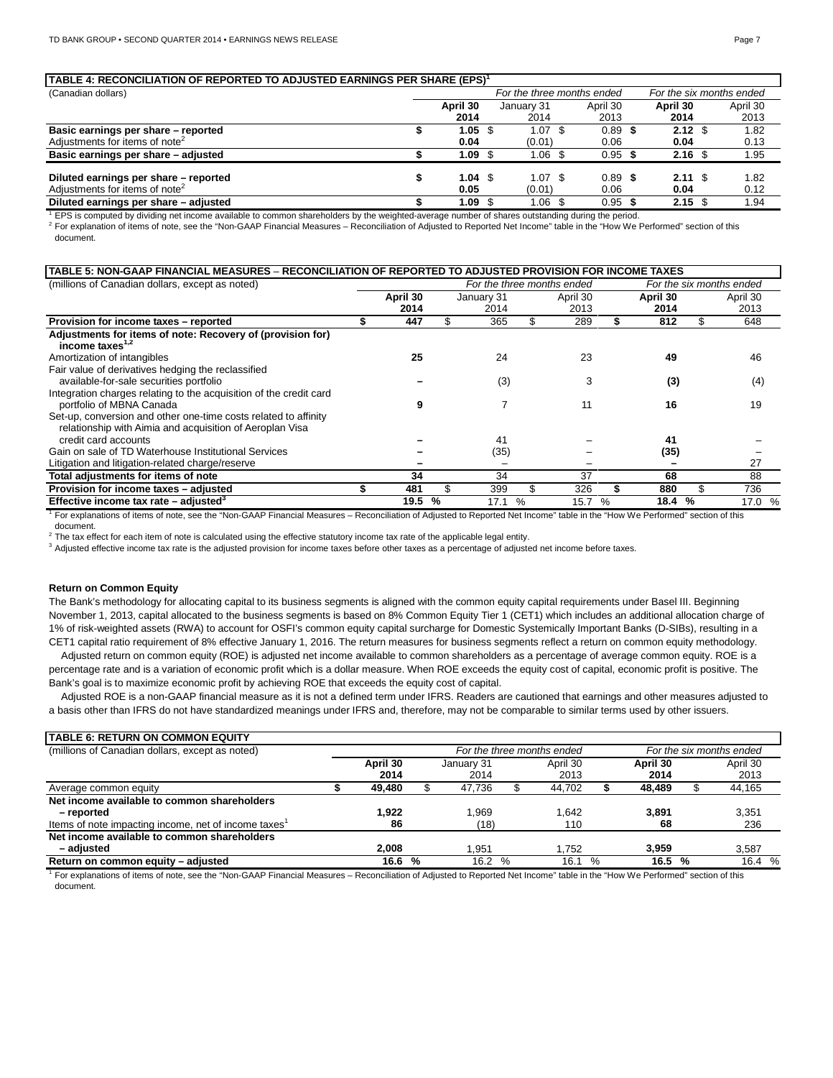#### **TABLE 4: RECONCILIATION OF REPORTED TO ADJUSTED EARNINGS PER SHARE (EPS)<sup>1</sup>**

| (Canadian dollars)                                                                  |                            | For the three months ended |                   | For the six months ended |              |
|-------------------------------------------------------------------------------------|----------------------------|----------------------------|-------------------|--------------------------|--------------|
|                                                                                     | April 30                   | January 31                 | April 30          | April 30                 | April 30     |
|                                                                                     | 2014                       | 2014                       | 2013              | 2014                     | 2013         |
| Basic earnings per share - reported                                                 | $1.05 \text{ } $s$         | $1.07$ \$                  | $0.89$ \$         | $2.12 \text{ }$ \$       | 1.82         |
| Adjustments for items of note <sup>2</sup>                                          | 0.04                       | (0.01)                     | 0.06              | 0.04                     | 0.13         |
| Basic earnings per share - adjusted                                                 | 1.09                       | 1.06 \$                    | 0.95              | $2.16$ \$                | 1.95         |
| Diluted earnings per share - reported<br>Adjustments for items of note <sup>2</sup> | $1.04 \text{ }$ \$<br>0.05 | $1.07$ \$<br>(0.01)        | $0.89$ \$<br>0.06 | 2.11S<br>0.04            | 1.82<br>0.12 |
| Diluted earnings per share - adjusted                                               | 1.09                       | $1.06$ \$                  | $0.95$ \$         | $2.15$ \$                | 1.94         |

<sup>1</sup> EPS is computed by dividing net income available to common shareholders by the weighted-average number of shares outstanding during the period.

<sup>2</sup> For explanation of items of note, see the "Non-GAAP Financial Measures – Reconciliation of Adjusted to Reported Net Income" table in the "How We Performed" section of this document.

## **TABLE 5: NON-GAAP FINANCIAL MEASURES** – **RECONCILIATION OF REPORTED TO ADJUSTED PROVISION FOR INCOME TAXES**

| (millions of Canadian dollars, except as noted)                                                                             | For the three months ended<br>For the six months ended |          |  |            |      |          |      |          |   |          |
|-----------------------------------------------------------------------------------------------------------------------------|--------------------------------------------------------|----------|--|------------|------|----------|------|----------|---|----------|
|                                                                                                                             |                                                        | April 30 |  | January 31 |      | April 30 |      | April 30 |   | April 30 |
|                                                                                                                             |                                                        | 2014     |  | 2014       |      | 2013     |      | 2014     |   | 2013     |
| Provision for income taxes - reported                                                                                       |                                                        | 447      |  | 365        |      | 289      |      | 812      |   | 648      |
| Adjustments for items of note: Recovery of (provision for)<br>income taxes $1,2$                                            |                                                        |          |  |            |      |          |      |          |   |          |
| Amortization of intangibles                                                                                                 |                                                        | 25       |  | 24         |      | 23       |      | 49       |   | 46       |
| Fair value of derivatives hedging the reclassified<br>available-for-sale securities portfolio                               |                                                        |          |  |            |      | 3        |      |          |   |          |
| Integration charges relating to the acquisition of the credit card                                                          |                                                        |          |  | (3)        |      |          |      | (3)      |   | (4)      |
| portfolio of MBNA Canada                                                                                                    |                                                        | 9        |  |            |      | 11       |      | 16       |   | 19       |
| Set-up, conversion and other one-time costs related to affinity<br>relationship with Aimia and acquisition of Aeroplan Visa |                                                        |          |  |            |      |          |      |          |   |          |
| credit card accounts                                                                                                        |                                                        |          |  | 41         |      |          |      | 41       |   |          |
| Gain on sale of TD Waterhouse Institutional Services                                                                        |                                                        |          |  | (35)       |      |          |      | (35)     |   |          |
| Litigation and litigation-related charge/reserve                                                                            |                                                        |          |  |            |      |          |      |          |   | 27       |
| Total adjustments for items of note                                                                                         |                                                        | 34       |  | 34         |      | 37       |      | 68       |   | 88       |
| Provision for income taxes - adjusted                                                                                       |                                                        | 481      |  | 399        |      | 326      |      | 880      |   | 736      |
| Effective income tax rate $-$ adjusted <sup>3</sup>                                                                         |                                                        | 19.5 %   |  | 17.1       | $\%$ | 15.7     | $\%$ | 18.4     | % | 17.0 %   |

<sup>1</sup> For explanations of items of note, see the "Non-GAAP Financial Measures – Reconciliation of Adjusted to Reported Net Income" table in the "How We Performed" section of this document.

 $2$  The tax effect for each item of note is calculated using the effective statutory income tax rate of the applicable legal entity.

<sup>3</sup> Adjusted effective income tax rate is the adjusted provision for income taxes before other taxes as a percentage of adjusted net income before taxes.

#### **Return on Common Equity**

The Bank's methodology for allocating capital to its business segments is aligned with the common equity capital requirements under Basel III. Beginning November 1, 2013, capital allocated to the business segments is based on 8% Common Equity Tier 1 (CET1) which includes an additional allocation charge of 1% of risk-weighted assets (RWA) to account for OSFI's common equity capital surcharge for Domestic Systemically Important Banks (D-SIBs), resulting in a CET1 capital ratio requirement of 8% effective January 1, 2016. The return measures for business segments reflect a return on common equity methodology.

Adjusted return on common equity (ROE) is adjusted net income available to common shareholders as a percentage of average common equity. ROE is a percentage rate and is a variation of economic profit which is a dollar measure. When ROE exceeds the equity cost of capital, economic profit is positive. The Bank's goal is to maximize economic profit by achieving ROE that exceeds the equity cost of capital.

Adjusted ROE is a non-GAAP financial measure as it is not a defined term under IFRS. Readers are cautioned that earnings and other measures adjusted to a basis other than IFRS do not have standardized meanings under IFRS and, therefore, may not be comparable to similar terms used by other issuers.

| TABLE 6: RETURN ON COMMON EQUITY                                 |  |          |  |            |                            |   |                          |  |          |
|------------------------------------------------------------------|--|----------|--|------------|----------------------------|---|--------------------------|--|----------|
| (millions of Canadian dollars, except as noted)                  |  |          |  |            | For the three months ended |   | For the six months ended |  |          |
|                                                                  |  | April 30 |  | January 31 | April 30                   |   | April 30                 |  | April 30 |
|                                                                  |  | 2014     |  | 2014       | 2013                       |   | 2014                     |  | 2013     |
| Average common equity                                            |  | 49.480   |  | 47.736     | 44,702                     |   | 48,489                   |  | 44,165   |
| Net income available to common shareholders                      |  |          |  |            |                            |   |                          |  |          |
| - reported                                                       |  | 1.922    |  | .969       | .642                       |   | 3.891                    |  | 3.351    |
| Items of note impacting income, net of income taxes <sup>1</sup> |  | 86       |  | (18)       | 110                        |   | 68                       |  | 236      |
| Net income available to common shareholders                      |  |          |  |            |                            |   |                          |  |          |
| – adiusted                                                       |  | 2.008    |  | 1.951      | 1.752                      |   | 3.959                    |  | 3.587    |
| Return on common equity – adjusted                               |  | 16.6 %   |  | 16.2 %     | 16.1                       | % | 16.5%                    |  | 16.4 %   |

<sup>1</sup> For explanations of items of note, see the "Non-GAAP Financial Measures – Reconciliation of Adjusted to Reported Net Income" table in the "How We Performed" section of this document.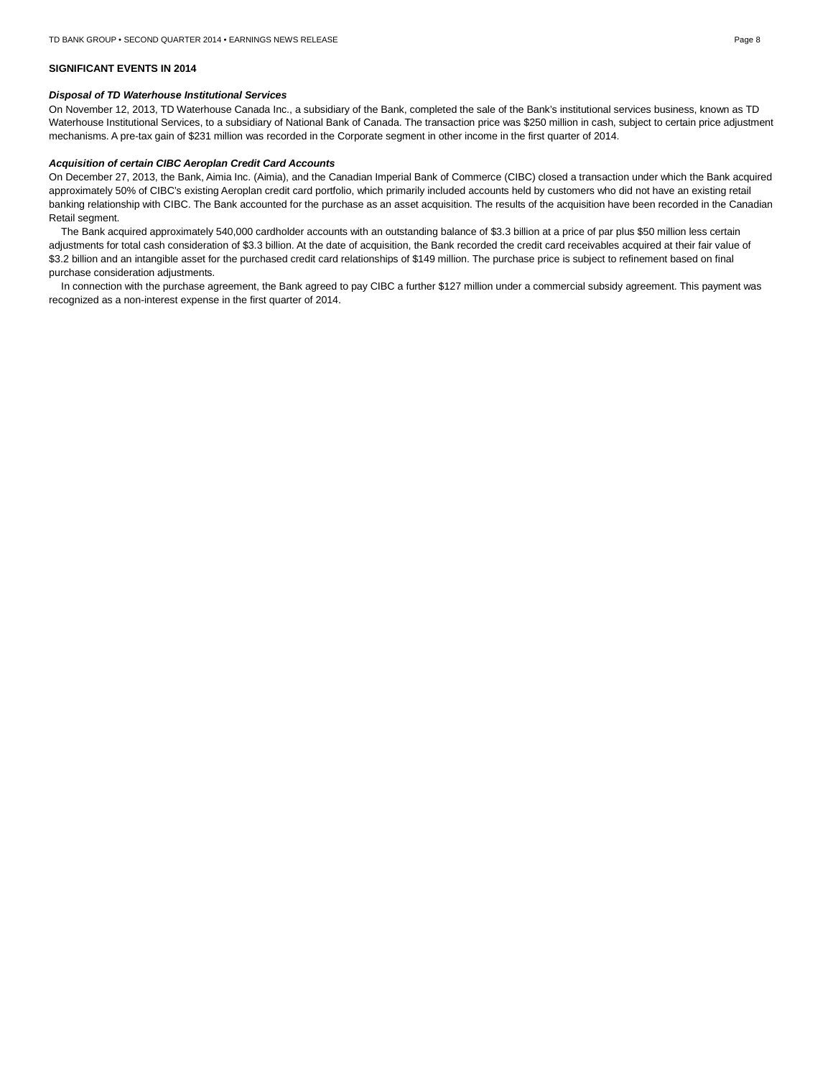## **SIGNIFICANT EVENTS IN 2014**

#### *Disposal of TD Waterhouse Institutional Services*

On November 12, 2013, TD Waterhouse Canada Inc., a subsidiary of the Bank, completed the sale of the Bank's institutional services business, known as TD Waterhouse Institutional Services, to a subsidiary of National Bank of Canada. The transaction price was \$250 million in cash, subject to certain price adjustment mechanisms. A pre-tax gain of \$231 million was recorded in the Corporate segment in other income in the first quarter of 2014.

#### *Acquisition of certain CIBC Aeroplan Credit Card Accounts*

On December 27, 2013, the Bank, Aimia Inc. (Aimia), and the Canadian Imperial Bank of Commerce (CIBC) closed a transaction under which the Bank acquired approximately 50% of CIBC's existing Aeroplan credit card portfolio, which primarily included accounts held by customers who did not have an existing retail banking relationship with CIBC. The Bank accounted for the purchase as an asset acquisition. The results of the acquisition have been recorded in the Canadian Retail segment.

The Bank acquired approximately 540,000 cardholder accounts with an outstanding balance of \$3.3 billion at a price of par plus \$50 million less certain adjustments for total cash consideration of \$3.3 billion. At the date of acquisition, the Bank recorded the credit card receivables acquired at their fair value of \$3.2 billion and an intangible asset for the purchased credit card relationships of \$149 million. The purchase price is subject to refinement based on final purchase consideration adjustments.

In connection with the purchase agreement, the Bank agreed to pay CIBC a further \$127 million under a commercial subsidy agreement. This payment was recognized as a non-interest expense in the first quarter of 2014.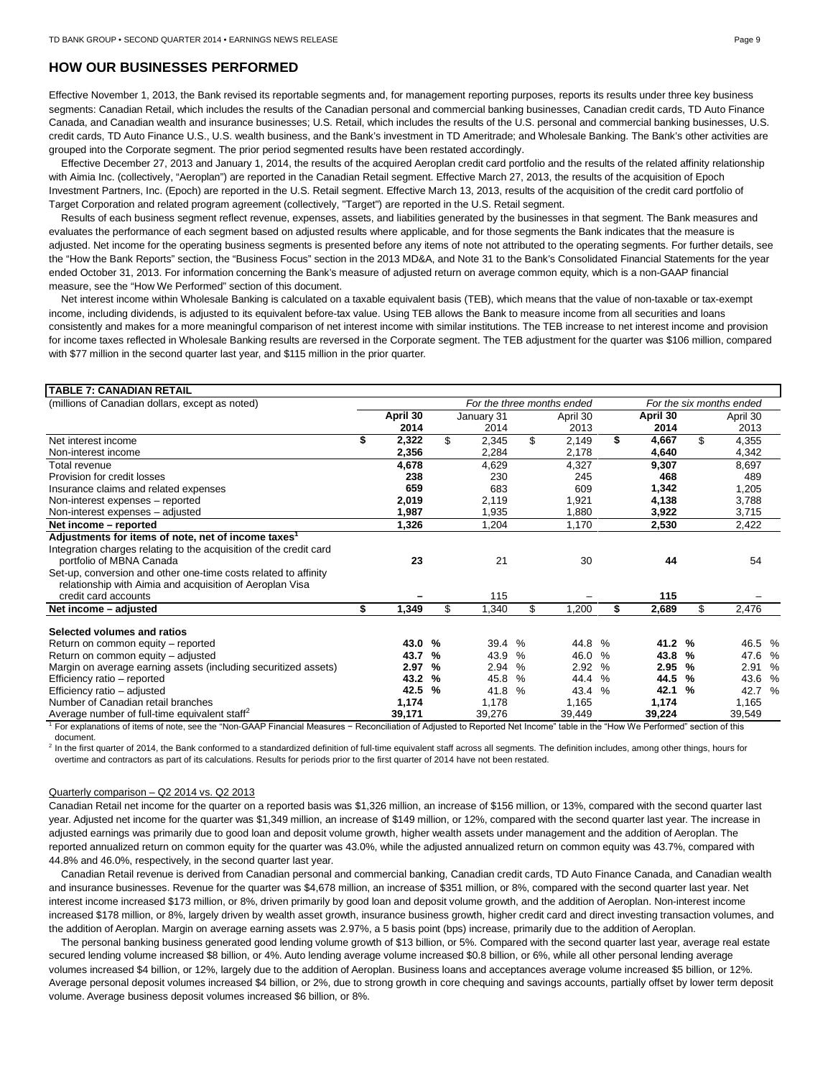## **HOW OUR BUSINESSES PERFORMED**

Effective November 1, 2013, the Bank revised its reportable segments and, for management reporting purposes, reports its results under three key business segments: Canadian Retail, which includes the results of the Canadian personal and commercial banking businesses, Canadian credit cards, TD Auto Finance Canada, and Canadian wealth and insurance businesses; U.S. Retail, which includes the results of the U.S. personal and commercial banking businesses, U.S. credit cards, TD Auto Finance U.S., U.S. wealth business, and the Bank's investment in TD Ameritrade; and Wholesale Banking. The Bank's other activities are grouped into the Corporate segment. The prior period segmented results have been restated accordingly.

Effective December 27, 2013 and January 1, 2014, the results of the acquired Aeroplan credit card portfolio and the results of the related affinity relationship with Aimia Inc. (collectively, "Aeroplan") are reported in the Canadian Retail segment. Effective March 27, 2013, the results of the acquisition of Epoch Investment Partners, Inc. (Epoch) are reported in the U.S. Retail segment. Effective March 13, 2013, results of the acquisition of the credit card portfolio of Target Corporation and related program agreement (collectively, "Target") are reported in the U.S. Retail segment.

Results of each business segment reflect revenue, expenses, assets, and liabilities generated by the businesses in that segment. The Bank measures and evaluates the performance of each segment based on adjusted results where applicable, and for those segments the Bank indicates that the measure is adjusted. Net income for the operating business segments is presented before any items of note not attributed to the operating segments. For further details, see the "How the Bank Reports" section, the "Business Focus" section in the 2013 MD&A, and Note 31 to the Bank's Consolidated Financial Statements for the year ended October 31, 2013. For information concerning the Bank's measure of adjusted return on average common equity, which is a non-GAAP financial measure, see the "How We Performed" section of this document.

Net interest income within Wholesale Banking is calculated on a taxable equivalent basis (TEB), which means that the value of non-taxable or tax-exempt income, including dividends, is adjusted to its equivalent before-tax value. Using TEB allows the Bank to measure income from all securities and loans consistently and makes for a more meaningful comparison of net interest income with similar institutions. The TEB increase to net interest income and provision for income taxes reflected in Wholesale Banking results are reversed in the Corporate segment. The TEB adjustment for the quarter was \$106 million, compared with \$77 million in the second quarter last year, and \$115 million in the prior quarter.

## **TABLE 7: CANADIAN RETAIL**

| (millions of Canadian dollars, except as noted)                    | For the three months ended |          |      |            |      |          | For the six months ended |          |     |          |   |  |
|--------------------------------------------------------------------|----------------------------|----------|------|------------|------|----------|--------------------------|----------|-----|----------|---|--|
|                                                                    |                            | April 30 |      | January 31 |      | April 30 |                          | April 30 |     | April 30 |   |  |
|                                                                    |                            | 2014     |      | 2014       |      | 2013     |                          | 2014     |     | 2013     |   |  |
| Net interest income                                                | \$                         | 2,322    | \$   | 2,345      | \$   | 2,149    | \$                       | 4,667    | \$  | 4,355    |   |  |
| Non-interest income                                                |                            | 2,356    |      | 2,284      |      | 2,178    |                          | 4,640    |     | 4,342    |   |  |
| Total revenue                                                      |                            | 4,678    |      | 4,629      |      | 4,327    |                          | 9,307    |     | 8,697    |   |  |
| Provision for credit losses                                        |                            | 238      |      | 230        |      | 245      |                          | 468      |     | 489      |   |  |
| Insurance claims and related expenses                              |                            | 659      |      | 683        |      | 609      |                          | 1,342    |     | 1,205    |   |  |
| Non-interest expenses – reported                                   |                            | 2,019    |      | 2,119      |      | 1,921    |                          | 4,138    |     | 3,788    |   |  |
| Non-interest expenses - adjusted                                   |                            | 1,987    |      | 1,935      |      | 1,880    |                          | 3,922    |     | 3,715    |   |  |
| Net income - reported                                              |                            | 1,326    |      | 1,204      |      | 1,170    |                          | 2,530    |     | 2,422    |   |  |
| Adjustments for items of note, net of income taxes <sup>1</sup>    |                            |          |      |            |      |          |                          |          |     |          |   |  |
| Integration charges relating to the acquisition of the credit card |                            |          |      |            |      |          |                          |          |     |          |   |  |
| portfolio of MBNA Canada                                           |                            | 23       |      | 21         |      | 30       |                          | 44       |     | 54       |   |  |
| Set-up, conversion and other one-time costs related to affinity    |                            |          |      |            |      |          |                          |          |     |          |   |  |
| relationship with Aimia and acquisition of Aeroplan Visa           |                            |          |      |            |      |          |                          |          |     |          |   |  |
| credit card accounts                                               |                            |          |      | 115        |      |          |                          | 115      |     |          |   |  |
| Net income - adjusted                                              | \$                         | 1,349    | \$   | 1,340      | \$   | 1,200    | \$                       | 2,689    | \$. | 2,476    |   |  |
| Selected volumes and ratios                                        |                            |          |      |            |      |          |                          |          |     |          |   |  |
| Return on common equity - reported                                 |                            | 43.0     | %    | 39.4       | $\%$ | 44.8     | $\%$                     | 41.2     | %   | 46.5 %   |   |  |
| Return on common equity - adjusted                                 |                            | 43.7     | %    | 43.9       | $\%$ | 46.0     | $\%$                     | 43.8     | %   | 47.6 %   |   |  |
| Margin on average earning assets (including securitized assets)    |                            | 2.97     | %    | 2.94       | $\%$ | 2.92     | $\%$                     | 2.95     | %   | 2.91 %   |   |  |
| Efficiency ratio - reported                                        |                            | 43.2     | $\%$ | 45.8       | $\%$ | 44.4     | $\%$                     | 44.5     | %   | 43.6     | % |  |
| Efficiency ratio - adjusted                                        |                            | 42.5     | %    | 41.8       | $\%$ | 43.4     | $\%$                     | 42.1     | %   | 42.7 %   |   |  |
| Number of Canadian retail branches                                 |                            | 1,174    |      | 1.178      |      | 1,165    |                          | 1,174    |     | 1,165    |   |  |
| Average number of full-time equivalent staff <sup>2</sup>          |                            | 39,171   |      | 39,276     |      | 39,449   |                          | 39,224   |     | 39,549   |   |  |
|                                                                    |                            |          |      |            |      |          |                          |          |     |          |   |  |

<sup>1</sup> For explanations of items of note, see the "Non-GAAP Financial Measures − Reconciliation of Adjusted to Reported Net Income" table in the "How We Performed" section of this document.

 $^2$  In the first quarter of 2014, the Bank conformed to a standardized definition of full-time equivalent staff across all segments. The definition includes, among other things, hours for overtime and contractors as part of its calculations. Results for periods prior to the first quarter of 2014 have not been restated.

#### Quarterly comparison – Q2 2014 vs. Q2 2013

Canadian Retail net income for the quarter on a reported basis was \$1,326 million, an increase of \$156 million, or 13%, compared with the second quarter last year. Adjusted net income for the quarter was \$1,349 million, an increase of \$149 million, or 12%, compared with the second quarter last year. The increase in adjusted earnings was primarily due to good loan and deposit volume growth, higher wealth assets under management and the addition of Aeroplan. The reported annualized return on common equity for the quarter was 43.0%, while the adjusted annualized return on common equity was 43.7%, compared with 44.8% and 46.0%, respectively, in the second quarter last year.

Canadian Retail revenue is derived from Canadian personal and commercial banking, Canadian credit cards, TD Auto Finance Canada, and Canadian wealth and insurance businesses. Revenue for the quarter was \$4,678 million, an increase of \$351 million, or 8%, compared with the second quarter last year. Net interest income increased \$173 million, or 8%, driven primarily by good loan and deposit volume growth, and the addition of Aeroplan. Non-interest income increased \$178 million, or 8%, largely driven by wealth asset growth, insurance business growth, higher credit card and direct investing transaction volumes, and the addition of Aeroplan. Margin on average earning assets was 2.97%, a 5 basis point (bps) increase, primarily due to the addition of Aeroplan.

The personal banking business generated good lending volume growth of \$13 billion, or 5%. Compared with the second quarter last year, average real estate secured lending volume increased \$8 billion, or 4%. Auto lending average volume increased \$0.8 billion, or 6%, while all other personal lending average volumes increased \$4 billion, or 12%, largely due to the addition of Aeroplan. Business loans and acceptances average volume increased \$5 billion, or 12%. Average personal deposit volumes increased \$4 billion, or 2%, due to strong growth in core chequing and savings accounts, partially offset by lower term deposit volume. Average business deposit volumes increased \$6 billion, or 8%.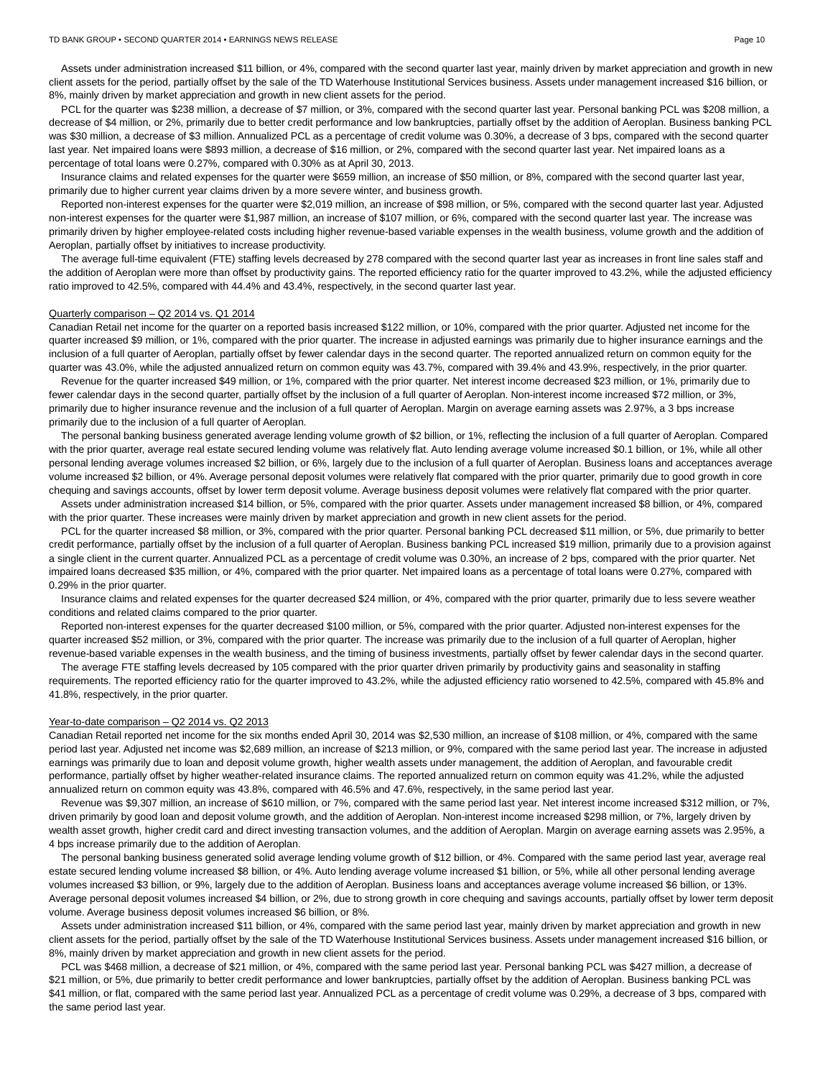Assets under administration increased \$11 billion, or 4%, compared with the second quarter last year, mainly driven by market appreciation and growth in new client assets for the period, partially offset by the sale of the TD Waterhouse Institutional Services business. Assets under management increased \$16 billion, or 8%, mainly driven by market appreciation and growth in new client assets for the period.

PCL for the quarter was \$238 million, a decrease of \$7 million, or 3%, compared with the second quarter last year. Personal banking PCL was \$208 million, a decrease of \$4 million, or 2%, primarily due to better credit performance and low bankruptcies, partially offset by the addition of Aeroplan. Business banking PCL was \$30 million, a decrease of \$3 million. Annualized PCL as a percentage of credit volume was 0.30%, a decrease of 3 bps, compared with the second quarter last year. Net impaired loans were \$893 million, a decrease of \$16 million, or 2%, compared with the second quarter last year. Net impaired loans as a percentage of total loans were 0.27%, compared with 0.30% as at April 30, 2013.

Insurance claims and related expenses for the quarter were \$659 million, an increase of \$50 million, or 8%, compared with the second quarter last year, primarily due to higher current year claims driven by a more severe winter, and business growth.

Reported non-interest expenses for the quarter were \$2,019 million, an increase of \$98 million, or 5%, compared with the second quarter last year. Adjusted non-interest expenses for the quarter were \$1,987 million, an increase of \$107 million, or 6%, compared with the second quarter last year. The increase was primarily driven by higher employee-related costs including higher revenue-based variable expenses in the wealth business, volume growth and the addition of Aeroplan, partially offset by initiatives to increase productivity.

The average full-time equivalent (FTE) staffing levels decreased by 278 compared with the second quarter last year as increases in front line sales staff and the addition of Aeroplan were more than offset by productivity gains. The reported efficiency ratio for the quarter improved to 43.2%, while the adjusted efficiency ratio improved to 42.5%, compared with 44.4% and 43.4%, respectively, in the second quarter last year.

## Quarterly comparison - Q2 2014 vs. Q1 2014

Canadian Retail net income for the quarter on a reported basis increased \$122 million, or 10%, compared with the prior quarter. Adjusted net income for the quarter increased \$9 million, or 1%, compared with the prior quarter. The increase in adjusted earnings was primarily due to higher insurance earnings and the inclusion of a full quarter of Aeroplan, partially offset by fewer calendar days in the second quarter. The reported annualized return on common equity for the quarter was 43.0%, while the adjusted annualized return on common equity was 43.7%, compared with 39.4% and 43.9%, respectively, in the prior quarter.

Revenue for the quarter increased \$49 million, or 1%, compared with the prior quarter. Net interest income decreased \$23 million, or 1%, primarily due to fewer calendar days in the second quarter, partially offset by the inclusion of a full quarter of Aeroplan. Non-interest income increased \$72 million, or 3%, primarily due to higher insurance revenue and the inclusion of a full quarter of Aeroplan. Margin on average earning assets was 2.97%, a 3 bps increase primarily due to the inclusion of a full quarter of Aeroplan.

The personal banking business generated average lending volume growth of \$2 billion, or 1%, reflecting the inclusion of a full quarter of Aeroplan. Compared with the prior quarter, average real estate secured lending volume was relatively flat. Auto lending average volume increased \$0.1 billion, or 1%, while all other personal lending average volumes increased \$2 billion, or 6%, largely due to the inclusion of a full quarter of Aeroplan. Business loans and acceptances average volume increased \$2 billion, or 4%. Average personal deposit volumes were relatively flat compared with the prior quarter, primarily due to good growth in core chequing and savings accounts, offset by lower term deposit volume. Average business deposit volumes were relatively flat compared with the prior quarter.

Assets under administration increased \$14 billion, or 5%, compared with the prior quarter. Assets under management increased \$8 billion, or 4%, compared with the prior quarter. These increases were mainly driven by market appreciation and growth in new client assets for the period.

PCL for the quarter increased \$8 million, or 3%, compared with the prior quarter. Personal banking PCL decreased \$11 million, or 5%, due primarily to better credit performance, partially offset by the inclusion of a full quarter of Aeroplan. Business banking PCL increased \$19 million, primarily due to a provision against a single client in the current quarter. Annualized PCL as a percentage of credit volume was 0.30%, an increase of 2 bps, compared with the prior quarter. Net impaired loans decreased \$35 million, or 4%, compared with the prior quarter. Net impaired loans as a percentage of total loans were 0.27%, compared with 0.29% in the prior quarter.

Insurance claims and related expenses for the quarter decreased \$24 million, or 4%, compared with the prior quarter, primarily due to less severe weather conditions and related claims compared to the prior quarter.

Reported non-interest expenses for the quarter decreased \$100 million, or 5%, compared with the prior quarter. Adjusted non-interest expenses for the quarter increased \$52 million, or 3%, compared with the prior quarter. The increase was primarily due to the inclusion of a full quarter of Aeroplan, higher revenue-based variable expenses in the wealth business, and the timing of business investments, partially offset by fewer calendar days in the second quarter.

The average FTE staffing levels decreased by 105 compared with the prior quarter driven primarily by productivity gains and seasonality in staffing requirements. The reported efficiency ratio for the quarter improved to 43.2%, while the adjusted efficiency ratio worsened to 42.5%, compared with 45.8% and 41.8%, respectively, in the prior quarter.

#### Year-to-date comparison – Q2 2014 vs. Q2 2013

Canadian Retail reported net income for the six months ended April 30, 2014 was \$2,530 million, an increase of \$108 million, or 4%, compared with the same period last year. Adjusted net income was \$2,689 million, an increase of \$213 million, or 9%, compared with the same period last year. The increase in adjusted earnings was primarily due to loan and deposit volume growth, higher wealth assets under management, the addition of Aeroplan, and favourable credit performance, partially offset by higher weather-related insurance claims. The reported annualized return on common equity was 41.2%, while the adjusted annualized return on common equity was 43.8%, compared with 46.5% and 47.6%, respectively, in the same period last year.

Revenue was \$9,307 million, an increase of \$610 million, or 7%, compared with the same period last year. Net interest income increased \$312 million, or 7%, driven primarily by good loan and deposit volume growth, and the addition of Aeroplan. Non-interest income increased \$298 million, or 7%, largely driven by wealth asset growth, higher credit card and direct investing transaction volumes, and the addition of Aeroplan. Margin on average earning assets was 2.95%, a 4 bps increase primarily due to the addition of Aeroplan.

The personal banking business generated solid average lending volume growth of \$12 billion, or 4%. Compared with the same period last year, average real estate secured lending volume increased \$8 billion, or 4%. Auto lending average volume increased \$1 billion, or 5%, while all other personal lending average volumes increased \$3 billion, or 9%, largely due to the addition of Aeroplan. Business loans and acceptances average volume increased \$6 billion, or 13%. Average personal deposit volumes increased \$4 billion, or 2%, due to strong growth in core chequing and savings accounts, partially offset by lower term deposit volume. Average business deposit volumes increased \$6 billion, or 8%.

Assets under administration increased \$11 billion, or 4%, compared with the same period last year, mainly driven by market appreciation and growth in new client assets for the period, partially offset by the sale of the TD Waterhouse Institutional Services business. Assets under management increased \$16 billion, or 8%, mainly driven by market appreciation and growth in new client assets for the period.

PCL was \$468 million, a decrease of \$21 million, or 4%, compared with the same period last year. Personal banking PCL was \$427 million, a decrease of \$21 million, or 5%, due primarily to better credit performance and lower bankruptcies, partially offset by the addition of Aeroplan. Business banking PCL was \$41 million, or flat, compared with the same period last year. Annualized PCL as a percentage of credit volume was 0.29%, a decrease of 3 bps, compared with the same period last year.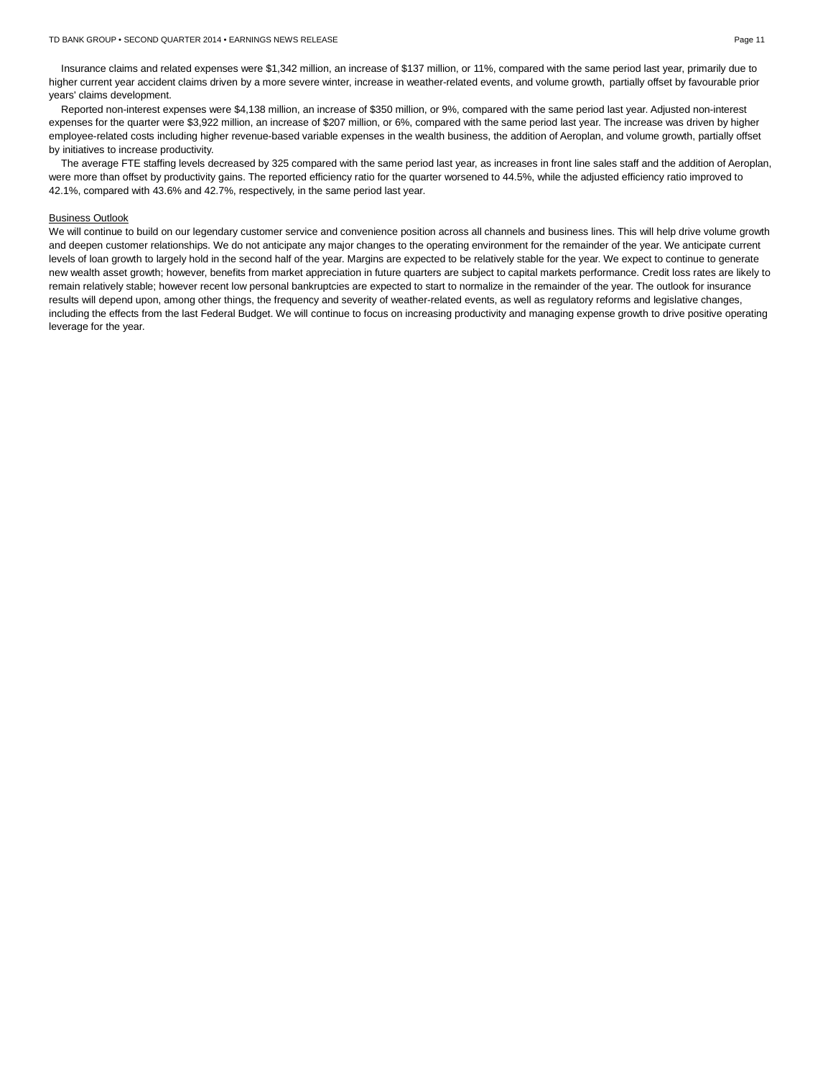Insurance claims and related expenses were \$1,342 million, an increase of \$137 million, or 11%, compared with the same period last year, primarily due to higher current year accident claims driven by a more severe winter, increase in weather-related events, and volume growth, partially offset by favourable prior years' claims development.

Reported non-interest expenses were \$4,138 million, an increase of \$350 million, or 9%, compared with the same period last year. Adjusted non-interest expenses for the quarter were \$3,922 million, an increase of \$207 million, or 6%, compared with the same period last year. The increase was driven by higher employee-related costs including higher revenue-based variable expenses in the wealth business, the addition of Aeroplan, and volume growth, partially offset by initiatives to increase productivity.

The average FTE staffing levels decreased by 325 compared with the same period last year, as increases in front line sales staff and the addition of Aeroplan, were more than offset by productivity gains. The reported efficiency ratio for the quarter worsened to 44.5%, while the adjusted efficiency ratio improved to 42.1%, compared with 43.6% and 42.7%, respectively, in the same period last year.

#### Business Outlook

We will continue to build on our legendary customer service and convenience position across all channels and business lines. This will help drive volume growth and deepen customer relationships. We do not anticipate any major changes to the operating environment for the remainder of the year. We anticipate current levels of loan growth to largely hold in the second half of the year. Margins are expected to be relatively stable for the year. We expect to continue to generate new wealth asset growth; however, benefits from market appreciation in future quarters are subject to capital markets performance. Credit loss rates are likely to remain relatively stable; however recent low personal bankruptcies are expected to start to normalize in the remainder of the year. The outlook for insurance results will depend upon, among other things, the frequency and severity of weather-related events, as well as regulatory reforms and legislative changes, including the effects from the last Federal Budget. We will continue to focus on increasing productivity and managing expense growth to drive positive operating leverage for the year.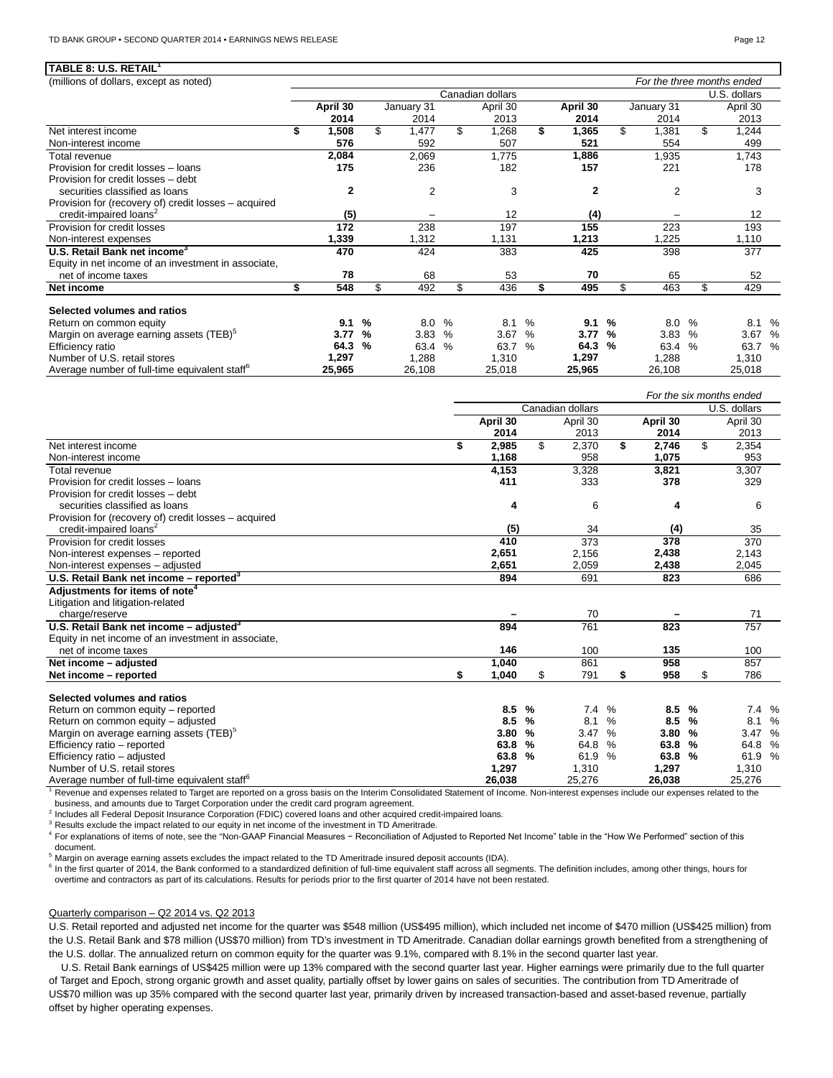| TABLE 8: U.S. RETAIL <sup>1</sup>                         |              |   |                |      |                  |      |              |   |     |            |      |                            |   |
|-----------------------------------------------------------|--------------|---|----------------|------|------------------|------|--------------|---|-----|------------|------|----------------------------|---|
| (millions of dollars, except as noted)                    |              |   |                |      |                  |      |              |   |     |            |      | For the three months ended |   |
|                                                           |              |   |                |      | Canadian dollars |      |              |   |     |            |      | U.S. dollars               |   |
|                                                           | April 30     |   | January 31     |      | April 30         |      | April 30     |   |     | January 31 |      | April 30                   |   |
|                                                           | 2014         |   | 2014           |      | 2013             |      | 2014         |   |     | 2014       |      | 2013                       |   |
| Net interest income                                       | \$<br>1,508  |   | \$<br>1,477    | \$   | 1,268            | \$   | 1,365        |   | \$. | 1,381      |      | \$<br>1,244                |   |
| Non-interest income                                       | 576          |   | 592            |      | 507              |      | 521          |   |     | 554        |      | 499                        |   |
| Total revenue                                             | 2,084        |   | 2,069          |      | 1,775            |      | 1,886        |   |     | 1,935      |      | 1,743                      |   |
| Provision for credit losses - loans                       | 175          |   | 236            |      | 182              |      | 157          |   |     | 221        |      | 178                        |   |
| Provision for credit losses - debt                        |              |   |                |      |                  |      |              |   |     |            |      |                            |   |
| securities classified as loans                            | $\mathbf{2}$ |   | $\overline{2}$ |      | 3                |      | $\mathbf{2}$ |   |     | 2          |      | 3                          |   |
| Provision for (recovery of) credit losses - acquired      |              |   |                |      |                  |      |              |   |     |            |      |                            |   |
| credit-impaired loans <sup>2</sup>                        | (5)          |   |                |      | 12               |      | (4)          |   |     |            |      | 12                         |   |
| Provision for credit losses                               | 172          |   | 238            |      | 197              |      | 155          |   |     | 223        |      | 193                        |   |
| Non-interest expenses                                     | 1,339        |   | 1,312          |      | 1,131            |      | 1,213        |   |     | 1,225      |      | 1,110                      |   |
| U.S. Retail Bank net income <sup>3</sup>                  | 470          |   | 424            |      | 383              |      | 425          |   |     | 398        |      | 377                        |   |
| Equity in net income of an investment in associate,       |              |   |                |      |                  |      |              |   |     |            |      |                            |   |
| net of income taxes                                       | 78           |   | 68             |      | 53               |      | 70           |   |     | 65         |      | 52                         |   |
| Net income                                                | \$<br>548    |   | \$<br>492      | \$   | 436              | \$   | 495          |   | \$  | 463        |      | \$<br>429                  |   |
| Selected volumes and ratios                               |              |   |                |      |                  |      |              |   |     |            |      |                            |   |
| Return on common equity                                   | 9.1          | % | 8.0            | $\%$ | 8.1              | %    | 9.1          | % |     | 8.0        | %    | 8.1                        | % |
| Margin on average earning assets (TEB) <sup>o</sup>       | 3.77         | % | 3.83           | $\%$ | 3.67             | $\%$ | 3.77         | % |     | 3.83       | $\%$ | 3.67 %                     |   |
| Efficiency ratio                                          | 64.3         | % | 63.4           | $\%$ | 63.7             | $\%$ | 64.3         | % |     | 63.4       | $\%$ | 63.7 %                     |   |
| Number of U.S. retail stores                              | 1,297        |   | 1,288          |      | 1,310            |      | 1,297        |   |     | 1,288      |      | 1,310                      |   |
| Average number of full-time equivalent staff <sup>o</sup> | 25,965       |   | 26,108         |      | 25,018           |      | 25,965       |   |     | 26,108     |      | 25,018                     |   |

|                                                                          | For the six months ended |          |      |                  |               |          |      |              |   |
|--------------------------------------------------------------------------|--------------------------|----------|------|------------------|---------------|----------|------|--------------|---|
|                                                                          |                          |          |      | Canadian dollars |               |          |      | U.S. dollars |   |
|                                                                          |                          | April 30 |      | April 30         |               | April 30 |      | April 30     |   |
|                                                                          |                          | 2014     |      | 2013             |               | 2014     |      | 2013         |   |
| Net interest income                                                      | \$                       | 2,985    | \$   | 2,370            | \$            | 2,746    | \$   | 2,354        |   |
| Non-interest income                                                      |                          | 1,168    |      | 958              |               | 1,075    |      | 953          |   |
| Total revenue                                                            |                          | 4,153    |      | 3,328            |               | 3,821    |      | 3,307        |   |
| Provision for credit losses - loans                                      |                          | 411      |      | 333              |               | 378      |      | 329          |   |
| Provision for credit losses - debt                                       |                          |          |      |                  |               |          |      |              |   |
| securities classified as loans                                           |                          | 4        |      | 6                |               | 4        |      | 6            |   |
| Provision for (recovery of) credit losses – acquired                     |                          |          |      |                  |               |          |      |              |   |
| credit-impaired loans <sup>2</sup>                                       |                          | (5)      |      | 34               |               | (4)      |      | 35           |   |
| Provision for credit losses                                              |                          | 410      |      | 373              |               | 378      |      | 370          |   |
| Non-interest expenses - reported                                         |                          | 2,651    |      | 2,156            |               | 2,438    |      | 2,143        |   |
| Non-interest expenses - adjusted                                         |                          | 2,651    |      | 2,059            |               | 2,438    |      | 2,045        |   |
| U.S. Retail Bank net income – reported <sup>3</sup>                      |                          | 894      |      | 691              |               | 823      |      | 686          |   |
| Adjustments for items of note <sup>4</sup>                               |                          |          |      |                  |               |          |      |              |   |
| Litigation and litigation-related                                        |                          |          |      |                  |               |          |      |              |   |
| charge/reserve                                                           |                          |          |      | 70               |               |          |      | 71           |   |
| U.S. Retail Bank net income $-$ adjusted <sup>3</sup>                    |                          | 894      |      | 761              |               | 823      |      | 757          |   |
| Equity in net income of an investment in associate,                      |                          |          |      |                  |               |          |      |              |   |
| net of income taxes                                                      |                          | 146      |      | 100              |               | 135      |      | 100          |   |
| Net income - adjusted                                                    |                          | 1,040    |      | 861              |               | 958      |      | 857          |   |
| Net income - reported                                                    | S                        | 1,040    | \$   | 791              | S             | 958      | S    | 786          |   |
| Selected volumes and ratios                                              |                          |          |      |                  |               |          |      |              |   |
|                                                                          |                          | 8.5      | %    | 7.4              | %             | 8.5      | %    | 7.4 %        |   |
| Return on common equity - reported<br>Return on common equity - adjusted |                          | 8.5      | $\%$ | 8.1              | $\frac{0}{0}$ | 8.5      | $\%$ | 8.1          | % |
| Margin on average earning assets (TEB) <sup>5</sup>                      |                          | 3.80     | %    | 3.47             | $\%$          | 3.80     | %    | 3.47 %       |   |
|                                                                          |                          | 63.8     | $\%$ | 64.8             | $\%$          | 63.8     | $\%$ | 64.8         | % |
| Efficiency ratio - reported<br>Efficiency ratio - adjusted               |                          | 63.8     | %    | 61.9             | $\%$          | 63.8     | %    | 61.9 %       |   |
| Number of U.S. retail stores                                             |                          | 1,297    |      | 1,310            |               | 1,297    |      | 1,310        |   |
| Average number of full-time equivalent staff <sup>o</sup>                |                          | 26,038   |      | 25,276           |               | 26,038   |      | 25,276       |   |
|                                                                          |                          |          |      |                  |               |          |      |              |   |

<sup>1</sup> Revenue and expenses related to Target are reported on a gross basis on the Interim Consolidated Statement of Income. Non-interest expenses include our expenses related to the business, and amounts due to Target Corporation under the credit card program agreement.

<sup>2</sup> Includes all Federal Deposit Insurance Corporation (FDIC) covered loans and other acquired credit-impaired loans.

<sup>3</sup> Results exclude the impact related to our equity in net income of the investment in TD Ameritrade.

<sup>4</sup> For explanations of items of note, see the "Non-GAAP Financial Measures − Reconciliation of Adjusted to Reported Net Income" table in the "How We Performed" section of this document.

<sup>5</sup> Margin on average earning assets excludes the impact related to the TD Ameritrade insured deposit accounts (IDA).

<sup>6</sup> In the first quarter of 2014, the Bank conformed to a standardized definition of full-time equivalent staff across all segments. The definition includes, among other things, hours for overtime and contractors as part of its calculations. Results for periods prior to the first quarter of 2014 have not been restated.

#### Quarterly comparison - Q2 2014 vs. Q2 2013

U.S. Retail reported and adjusted net income for the quarter was \$548 million (US\$495 million), which included net income of \$470 million (US\$425 million) from the U.S. Retail Bank and \$78 million (US\$70 million) from TD's investment in TD Ameritrade. Canadian dollar earnings growth benefited from a strengthening of the U.S. dollar. The annualized return on common equity for the quarter was 9.1%, compared with 8.1% in the second quarter last year.

U.S. Retail Bank earnings of US\$425 million were up 13% compared with the second quarter last year. Higher earnings were primarily due to the full quarter of Target and Epoch, strong organic growth and asset quality, partially offset by lower gains on sales of securities. The contribution from TD Ameritrade of US\$70 million was up 35% compared with the second quarter last year, primarily driven by increased transaction-based and asset-based revenue, partially offset by higher operating expenses.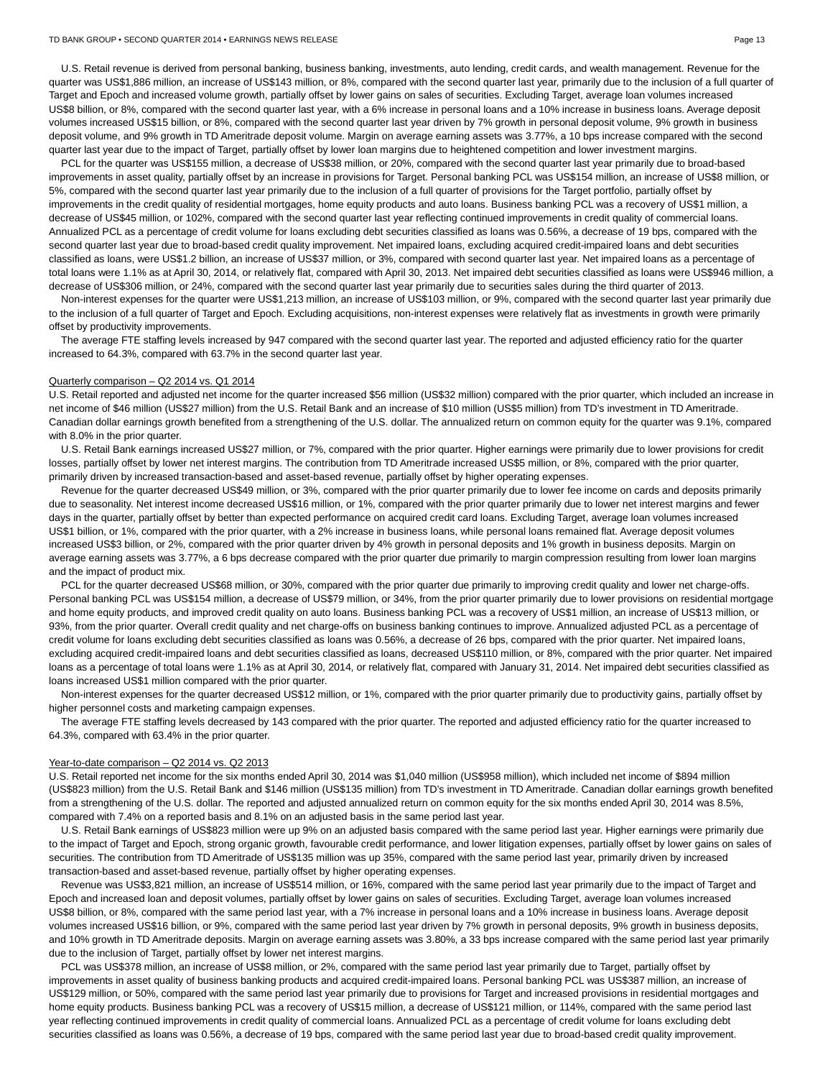U.S. Retail revenue is derived from personal banking, business banking, investments, auto lending, credit cards, and wealth management. Revenue for the quarter was US\$1,886 million, an increase of US\$143 million, or 8%, compared with the second quarter last year, primarily due to the inclusion of a full quarter of Target and Epoch and increased volume growth, partially offset by lower gains on sales of securities. Excluding Target, average loan volumes increased US\$8 billion, or 8%, compared with the second quarter last year, with a 6% increase in personal loans and a 10% increase in business loans. Average deposit volumes increased US\$15 billion, or 8%, compared with the second quarter last year driven by 7% growth in personal deposit volume, 9% growth in business deposit volume, and 9% growth in TD Ameritrade deposit volume. Margin on average earning assets was 3.77%, a 10 bps increase compared with the second quarter last year due to the impact of Target, partially offset by lower loan margins due to heightened competition and lower investment margins.

PCL for the quarter was US\$155 million, a decrease of US\$38 million, or 20%, compared with the second quarter last year primarily due to broad-based improvements in asset quality, partially offset by an increase in provisions for Target. Personal banking PCL was US\$154 million, an increase of US\$8 million, or 5%, compared with the second quarter last year primarily due to the inclusion of a full quarter of provisions for the Target portfolio, partially offset by improvements in the credit quality of residential mortgages, home equity products and auto loans. Business banking PCL was a recovery of US\$1 million, a decrease of US\$45 million, or 102%, compared with the second quarter last year reflecting continued improvements in credit quality of commercial loans. Annualized PCL as a percentage of credit volume for loans excluding debt securities classified as loans was 0.56%, a decrease of 19 bps, compared with the second quarter last year due to broad-based credit quality improvement. Net impaired loans, excluding acquired credit-impaired loans and debt securities classified as loans, were US\$1.2 billion, an increase of US\$37 million, or 3%, compared with second quarter last year. Net impaired loans as a percentage of total loans were 1.1% as at April 30, 2014, or relatively flat, compared with April 30, 2013. Net impaired debt securities classified as loans were US\$946 million, a decrease of US\$306 million, or 24%, compared with the second quarter last year primarily due to securities sales during the third quarter of 2013.

Non-interest expenses for the quarter were US\$1,213 million, an increase of US\$103 million, or 9%, compared with the second quarter last year primarily due to the inclusion of a full quarter of Target and Epoch. Excluding acquisitions, non-interest expenses were relatively flat as investments in growth were primarily offset by productivity improvements.

The average FTE staffing levels increased by 947 compared with the second quarter last year. The reported and adjusted efficiency ratio for the quarter increased to 64.3%, compared with 63.7% in the second quarter last year.

#### Quarterly comparison – Q2 2014 vs. Q1 2014

U.S. Retail reported and adjusted net income for the quarter increased \$56 million (US\$32 million) compared with the prior quarter, which included an increase in net income of \$46 million (US\$27 million) from the U.S. Retail Bank and an increase of \$10 million (US\$5 million) from TD's investment in TD Ameritrade. Canadian dollar earnings growth benefited from a strengthening of the U.S. dollar. The annualized return on common equity for the quarter was 9.1%, compared with 8.0% in the prior quarter.

U.S. Retail Bank earnings increased US\$27 million, or 7%, compared with the prior quarter. Higher earnings were primarily due to lower provisions for credit losses, partially offset by lower net interest margins. The contribution from TD Ameritrade increased US\$5 million, or 8%, compared with the prior quarter, primarily driven by increased transaction-based and asset-based revenue, partially offset by higher operating expenses.

Revenue for the quarter decreased US\$49 million, or 3%, compared with the prior quarter primarily due to lower fee income on cards and deposits primarily due to seasonality. Net interest income decreased US\$16 million, or 1%, compared with the prior quarter primarily due to lower net interest margins and fewer days in the quarter, partially offset by better than expected performance on acquired credit card loans. Excluding Target, average loan volumes increased US\$1 billion, or 1%, compared with the prior quarter, with a 2% increase in business loans, while personal loans remained flat. Average deposit volumes increased US\$3 billion, or 2%, compared with the prior quarter driven by 4% growth in personal deposits and 1% growth in business deposits. Margin on average earning assets was 3.77%, a 6 bps decrease compared with the prior quarter due primarily to margin compression resulting from lower loan margins and the impact of product mix.

PCL for the quarter decreased US\$68 million, or 30%, compared with the prior quarter due primarily to improving credit quality and lower net charge-offs. Personal banking PCL was US\$154 million, a decrease of US\$79 million, or 34%, from the prior quarter primarily due to lower provisions on residential mortgage and home equity products, and improved credit quality on auto loans. Business banking PCL was a recovery of US\$1 million, an increase of US\$13 million, or 93%, from the prior quarter. Overall credit quality and net charge-offs on business banking continues to improve. Annualized adjusted PCL as a percentage of credit volume for loans excluding debt securities classified as loans was 0.56%, a decrease of 26 bps, compared with the prior quarter. Net impaired loans, excluding acquired credit-impaired loans and debt securities classified as loans, decreased US\$110 million, or 8%, compared with the prior quarter. Net impaired loans as a percentage of total loans were 1.1% as at April 30, 2014, or relatively flat, compared with January 31, 2014. Net impaired debt securities classified as loans increased US\$1 million compared with the prior quarter.

Non-interest expenses for the quarter decreased US\$12 million, or 1%, compared with the prior quarter primarily due to productivity gains, partially offset by higher personnel costs and marketing campaign expenses.

The average FTE staffing levels decreased by 143 compared with the prior quarter. The reported and adjusted efficiency ratio for the quarter increased to 64.3%, compared with 63.4% in the prior quarter.

## Year-to-date comparison – Q2 2014 vs. Q2 2013

U.S. Retail reported net income for the six months ended April 30, 2014 was \$1,040 million (US\$958 million), which included net income of \$894 million (US\$823 million) from the U.S. Retail Bank and \$146 million (US\$135 million) from TD's investment in TD Ameritrade. Canadian dollar earnings growth benefited from a strengthening of the U.S. dollar. The reported and adjusted annualized return on common equity for the six months ended April 30, 2014 was 8.5%, compared with 7.4% on a reported basis and 8.1% on an adjusted basis in the same period last year.

U.S. Retail Bank earnings of US\$823 million were up 9% on an adjusted basis compared with the same period last year. Higher earnings were primarily due to the impact of Target and Epoch, strong organic growth, favourable credit performance, and lower litigation expenses, partially offset by lower gains on sales of securities. The contribution from TD Ameritrade of US\$135 million was up 35%, compared with the same period last year, primarily driven by increased transaction-based and asset-based revenue, partially offset by higher operating expenses.

Revenue was US\$3,821 million, an increase of US\$514 million, or 16%, compared with the same period last year primarily due to the impact of Target and Epoch and increased loan and deposit volumes, partially offset by lower gains on sales of securities. Excluding Target, average loan volumes increased US\$8 billion, or 8%, compared with the same period last year, with a 7% increase in personal loans and a 10% increase in business loans. Average deposit volumes increased US\$16 billion, or 9%, compared with the same period last year driven by 7% growth in personal deposits, 9% growth in business deposits, and 10% growth in TD Ameritrade deposits. Margin on average earning assets was 3.80%, a 33 bps increase compared with the same period last year primarily due to the inclusion of Target, partially offset by lower net interest margins.

PCL was US\$378 million, an increase of US\$8 million, or 2%, compared with the same period last year primarily due to Target, partially offset by improvements in asset quality of business banking products and acquired credit-impaired loans. Personal banking PCL was US\$387 million, an increase of US\$129 million, or 50%, compared with the same period last year primarily due to provisions for Target and increased provisions in residential mortgages and home equity products. Business banking PCL was a recovery of US\$15 million, a decrease of US\$121 million, or 114%, compared with the same period last year reflecting continued improvements in credit quality of commercial loans. Annualized PCL as a percentage of credit volume for loans excluding debt securities classified as loans was 0.56%, a decrease of 19 bps, compared with the same period last year due to broad-based credit quality improvement.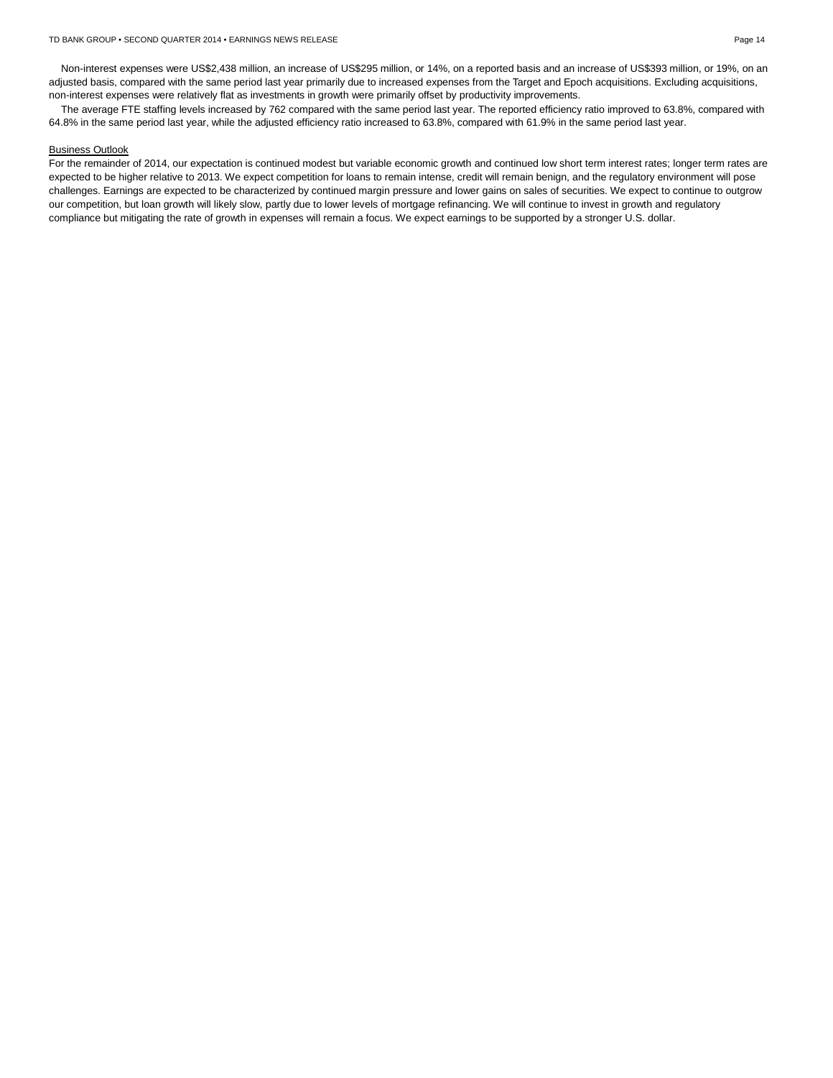Non-interest expenses were US\$2,438 million, an increase of US\$295 million, or 14%, on a reported basis and an increase of US\$393 million, or 19%, on an adjusted basis, compared with the same period last year primarily due to increased expenses from the Target and Epoch acquisitions. Excluding acquisitions, non-interest expenses were relatively flat as investments in growth were primarily offset by productivity improvements.

The average FTE staffing levels increased by 762 compared with the same period last year. The reported efficiency ratio improved to 63.8%, compared with 64.8% in the same period last year, while the adjusted efficiency ratio increased to 63.8%, compared with 61.9% in the same period last year.

#### Business Outlook

For the remainder of 2014, our expectation is continued modest but variable economic growth and continued low short term interest rates; longer term rates are expected to be higher relative to 2013. We expect competition for loans to remain intense, credit will remain benign, and the regulatory environment will pose challenges. Earnings are expected to be characterized by continued margin pressure and lower gains on sales of securities. We expect to continue to outgrow our competition, but loan growth will likely slow, partly due to lower levels of mortgage refinancing. We will continue to invest in growth and regulatory compliance but mitigating the rate of growth in expenses will remain a focus. We expect earnings to be supported by a stronger U.S. dollar.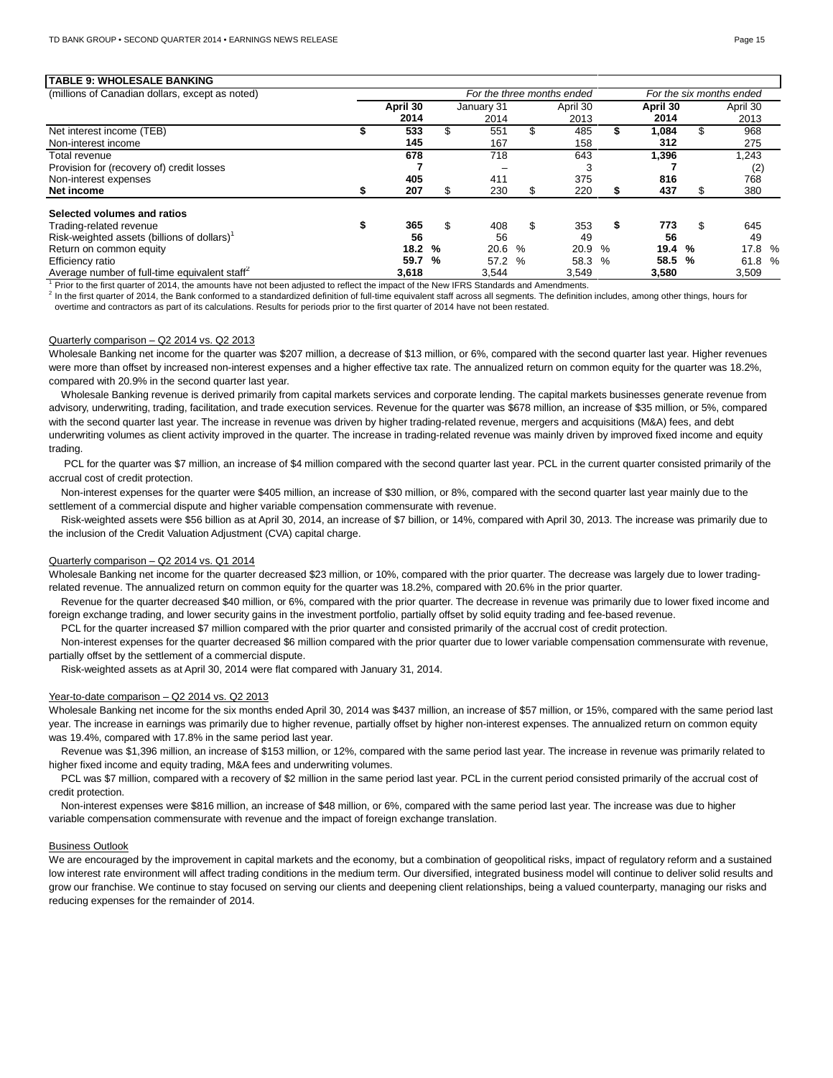## **TABLE 9: WHOLESALE BANKING**

| (millions of Canadian dollars, except as noted)         | For the three months ended |     |            |    |          | For the six months ended |          |    |          |  |
|---------------------------------------------------------|----------------------------|-----|------------|----|----------|--------------------------|----------|----|----------|--|
|                                                         | April 30                   |     | January 31 |    | April 30 |                          | April 30 |    | April 30 |  |
|                                                         | 2014                       |     | 2014       |    | 2013     |                          | 2014     |    | 2013     |  |
| Net interest income (TEB)                               | 533                        |     | 551        |    | 485      |                          | 1,084    |    | 968      |  |
| Non-interest income                                     | 145                        |     | 167        |    | 158      |                          | 312      |    | 275      |  |
| Total revenue                                           | 678                        |     | 718        |    | 643      |                          | 1,396    |    | 1,243    |  |
| Provision for (recovery of) credit losses               |                            |     |            |    |          |                          |          |    | (2)      |  |
| Non-interest expenses                                   | 405                        |     | 411        |    | 375      |                          | 816      |    | 768      |  |
| Net income                                              | 207                        | \$. | 230        |    | 220      |                          | 437      |    | 380      |  |
| Selected volumes and ratios                             |                            |     |            |    |          |                          |          |    |          |  |
| Trading-related revenue                                 | 365                        | \$  | 408        | \$ | 353      | \$                       | 773      | \$ | 645      |  |
| Risk-weighted assets (billions of dollars) <sup>1</sup> | 56                         |     | 56         |    | 49       |                          | 56       |    | 49       |  |
| Return on common equity                                 | 18.2                       | %   | 20.6       | %  | 20.9     | %                        | 19.4     | %  | 17.8 %   |  |
| Efficiency ratio                                        | 59.7                       | %   | 57.2 %     |    | 58.3 %   |                          | 58.5     | %  | 61.8 %   |  |
| Average number of full-time equivalent staff            | 3,618                      |     | 3,544      |    | 3,549    |                          | 3,580    |    | 3,509    |  |

Prior to the first quarter of 2014, the amounts have not been adjusted to reflect the impact of the New IFRS Standards and Amendments.

 $^2$  In the first quarter of 2014, the Bank conformed to a standardized definition of full-time equivalent staff across all segments. The definition includes, among other things, hours for overtime and contractors as part of its calculations. Results for periods prior to the first quarter of 2014 have not been restated.

#### Quarterly comparison – Q2 2014 vs. Q2 2013

Wholesale Banking net income for the quarter was \$207 million, a decrease of \$13 million, or 6%, compared with the second quarter last year. Higher revenues were more than offset by increased non-interest expenses and a higher effective tax rate. The annualized return on common equity for the quarter was 18.2%, compared with 20.9% in the second quarter last year.

Wholesale Banking revenue is derived primarily from capital markets services and corporate lending. The capital markets businesses generate revenue from advisory, underwriting, trading, facilitation, and trade execution services. Revenue for the quarter was \$678 million, an increase of \$35 million, or 5%, compared with the second quarter last year. The increase in revenue was driven by higher trading-related revenue, mergers and acquisitions (M&A) fees, and debt underwriting volumes as client activity improved in the quarter. The increase in trading-related revenue was mainly driven by improved fixed income and equity trading.

PCL for the quarter was \$7 million, an increase of \$4 million compared with the second quarter last year. PCL in the current quarter consisted primarily of the accrual cost of credit protection.

Non-interest expenses for the quarter were \$405 million, an increase of \$30 million, or 8%, compared with the second quarter last year mainly due to the settlement of a commercial dispute and higher variable compensation commensurate with revenue.

Risk-weighted assets were \$56 billion as at April 30, 2014, an increase of \$7 billion, or 14%, compared with April 30, 2013. The increase was primarily due to the inclusion of the Credit Valuation Adjustment (CVA) capital charge.

#### Quarterly comparison – Q2 2014 vs. Q1 2014

Wholesale Banking net income for the quarter decreased \$23 million, or 10%, compared with the prior quarter. The decrease was largely due to lower tradingrelated revenue. The annualized return on common equity for the quarter was 18.2%, compared with 20.6% in the prior quarter.

Revenue for the quarter decreased \$40 million, or 6%, compared with the prior quarter. The decrease in revenue was primarily due to lower fixed income and foreign exchange trading, and lower security gains in the investment portfolio, partially offset by solid equity trading and fee-based revenue.

PCL for the quarter increased \$7 million compared with the prior quarter and consisted primarily of the accrual cost of credit protection.

Non-interest expenses for the quarter decreased \$6 million compared with the prior quarter due to lower variable compensation commensurate with revenue, partially offset by the settlement of a commercial dispute.

Risk-weighted assets as at April 30, 2014 were flat compared with January 31, 2014.

#### Year-to-date comparison – Q2 2014 vs. Q2 2013

Wholesale Banking net income for the six months ended April 30, 2014 was \$437 million, an increase of \$57 million, or 15%, compared with the same period last year. The increase in earnings was primarily due to higher revenue, partially offset by higher non-interest expenses. The annualized return on common equity was 19.4%, compared with 17.8% in the same period last year.

Revenue was \$1,396 million, an increase of \$153 million, or 12%, compared with the same period last year. The increase in revenue was primarily related to higher fixed income and equity trading, M&A fees and underwriting volumes.

PCL was \$7 million, compared with a recovery of \$2 million in the same period last year. PCL in the current period consisted primarily of the accrual cost of credit protection.

Non-interest expenses were \$816 million, an increase of \$48 million, or 6%, compared with the same period last year. The increase was due to higher variable compensation commensurate with revenue and the impact of foreign exchange translation.

#### Business Outlook

We are encouraged by the improvement in capital markets and the economy, but a combination of geopolitical risks, impact of regulatory reform and a sustained low interest rate environment will affect trading conditions in the medium term. Our diversified, integrated business model will continue to deliver solid results and grow our franchise. We continue to stay focused on serving our clients and deepening client relationships, being a valued counterparty, managing our risks and reducing expenses for the remainder of 2014.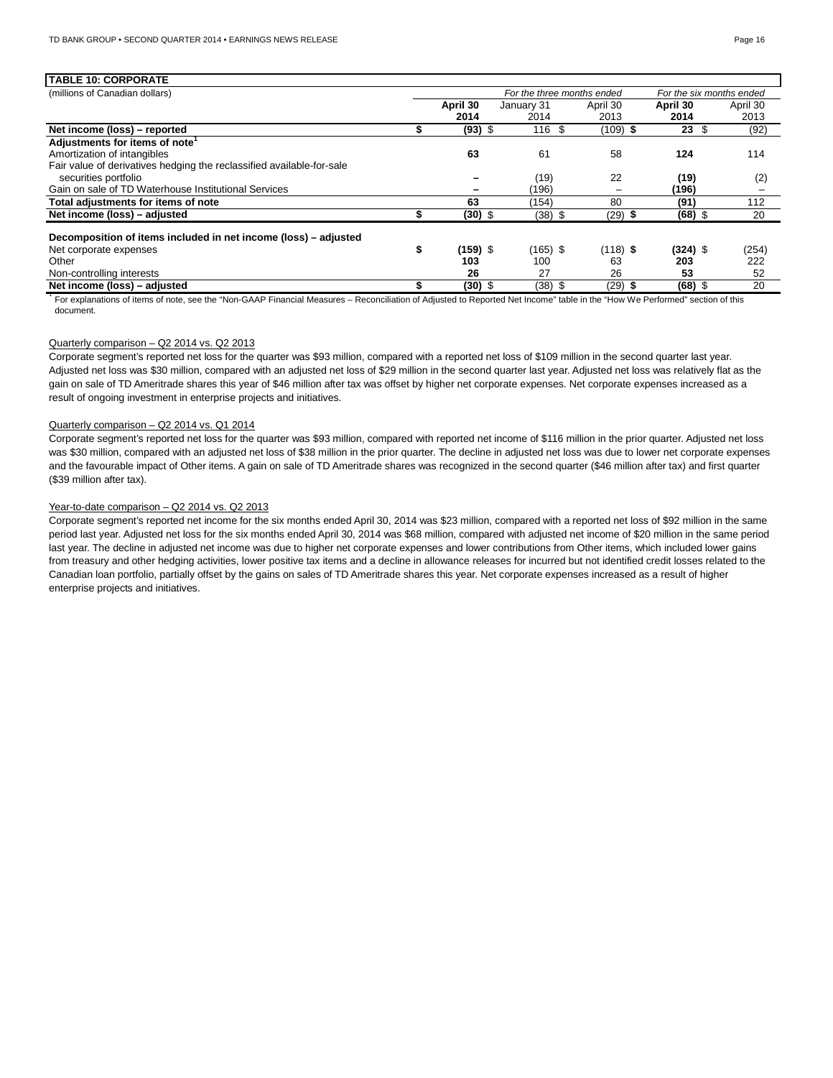| <b>TABLE 10: CORPORATE</b>                                            |                  |            |                            |                          |          |
|-----------------------------------------------------------------------|------------------|------------|----------------------------|--------------------------|----------|
| (millions of Canadian dollars)                                        |                  |            | For the three months ended | For the six months ended |          |
|                                                                       | April 30         | January 31 | April 30                   | April 30                 | April 30 |
|                                                                       | 2014             | 2014       | 2013                       | 2014                     | 2013     |
| Net income (loss) - reported                                          | $(93)$ \$        | 116S       | $(109)$ \$                 | 23<br>\$                 | (92)     |
| Adjustments for items of note <sup>1</sup>                            |                  |            |                            |                          |          |
| Amortization of intangibles                                           | 63               | 61         | 58                         | 124                      | 114      |
| Fair value of derivatives hedging the reclassified available-for-sale |                  |            |                            |                          |          |
| securities portfolio                                                  |                  | (19)       | 22                         | (19)                     | (2)      |
| Gain on sale of TD Waterhouse Institutional Services                  |                  | (196)      |                            | (196)                    |          |
| Total adjustments for items of note                                   | 63               | (154)      | 80                         | (91)                     | 112      |
| Net income (loss) - adjusted                                          | $(30)$ \$        | $(38)$ \$  | $(29)$ \$                  | $(68)$ \$                | 20       |
| Decomposition of items included in net income (loss) – adjusted       |                  |            |                            |                          |          |
| Net corporate expenses                                                | \$<br>$(159)$ \$ | $(165)$ \$ | $(118)$ \$                 | $(324)$ \$               | (254)    |
| Other                                                                 | 103              | 100        | 63                         | 203                      | 222      |
| Non-controlling interests                                             | 26               | 27         | 26                         | 53                       | 52       |
| Net income (loss) - adjusted                                          | $(30)$ \$        | $(38)$ \$  | $(29)$ \$                  | $(68)$ \$                | 20       |

1 For explanations of items of note, see the "Non-GAAP Financial Measures – Reconciliation of Adjusted to Reported Net Income" table in the "How We Performed" section of this document.

## Quarterly comparison - Q2 2014 vs. Q2 2013

Corporate segment's reported net loss for the quarter was \$93 million, compared with a reported net loss of \$109 million in the second quarter last year. Adjusted net loss was \$30 million, compared with an adjusted net loss of \$29 million in the second quarter last year. Adjusted net loss was relatively flat as the gain on sale of TD Ameritrade shares this year of \$46 million after tax was offset by higher net corporate expenses. Net corporate expenses increased as a result of ongoing investment in enterprise projects and initiatives.

## Quarterly comparison – Q2 2014 vs. Q1 2014

Corporate segment's reported net loss for the quarter was \$93 million, compared with reported net income of \$116 million in the prior quarter. Adjusted net loss was \$30 million, compared with an adjusted net loss of \$38 million in the prior quarter. The decline in adjusted net loss was due to lower net corporate expenses and the favourable impact of Other items. A gain on sale of TD Ameritrade shares was recognized in the second quarter (\$46 million after tax) and first quarter (\$39 million after tax).

### Year-to-date comparison – Q2 2014 vs. Q2 2013

Corporate segment's reported net income for the six months ended April 30, 2014 was \$23 million, compared with a reported net loss of \$92 million in the same period last year. Adjusted net loss for the six months ended April 30, 2014 was \$68 million, compared with adjusted net income of \$20 million in the same period last year. The decline in adjusted net income was due to higher net corporate expenses and lower contributions from Other items, which included lower gains from treasury and other hedging activities, lower positive tax items and a decline in allowance releases for incurred but not identified credit losses related to the Canadian loan portfolio, partially offset by the gains on sales of TD Ameritrade shares this year. Net corporate expenses increased as a result of higher enterprise projects and initiatives.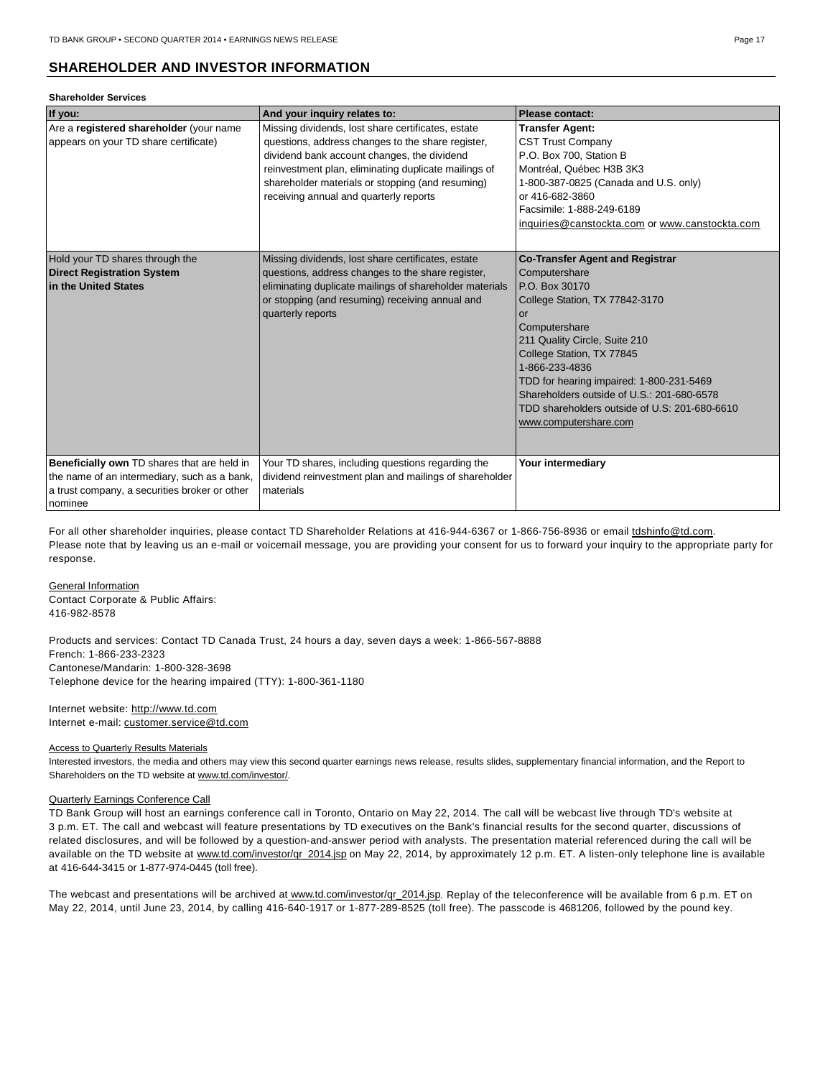## **SHAREHOLDER AND INVESTOR INFORMATION**

## **Shareholder Services**

| If you:                                                                                                                                                 | And your inquiry relates to:                                                                                                                                                                                                                                                                                 | Please contact:                                                                                                                                                                                                                                                                                                                                                                        |
|---------------------------------------------------------------------------------------------------------------------------------------------------------|--------------------------------------------------------------------------------------------------------------------------------------------------------------------------------------------------------------------------------------------------------------------------------------------------------------|----------------------------------------------------------------------------------------------------------------------------------------------------------------------------------------------------------------------------------------------------------------------------------------------------------------------------------------------------------------------------------------|
| Are a registered shareholder (your name<br>appears on your TD share certificate)                                                                        | Missing dividends, lost share certificates, estate<br>questions, address changes to the share register,<br>dividend bank account changes, the dividend<br>reinvestment plan, eliminating duplicate mailings of<br>shareholder materials or stopping (and resuming)<br>receiving annual and quarterly reports | <b>Transfer Agent:</b><br><b>CST Trust Company</b><br>P.O. Box 700, Station B<br>Montréal, Québec H3B 3K3<br>1-800-387-0825 (Canada and U.S. only)<br>or 416-682-3860<br>Facsimile: 1-888-249-6189<br>inquiries@canstockta.com or www.canstockta.com                                                                                                                                   |
| Hold your TD shares through the<br><b>Direct Registration System</b><br>in the United States                                                            | Missing dividends, lost share certificates, estate<br>questions, address changes to the share register,<br>eliminating duplicate mailings of shareholder materials<br>or stopping (and resuming) receiving annual and<br>quarterly reports                                                                   | <b>Co-Transfer Agent and Registrar</b><br>Computershare<br>P.O. Box 30170<br>College Station, TX 77842-3170<br>or<br>Computershare<br>211 Quality Circle, Suite 210<br>College Station, TX 77845<br>1-866-233-4836<br>TDD for hearing impaired: 1-800-231-5469<br>Shareholders outside of U.S.: 201-680-6578<br>TDD shareholders outside of U.S: 201-680-6610<br>www.computershare.com |
| Beneficially own TD shares that are held in<br>the name of an intermediary, such as a bank,<br>a trust company, a securities broker or other<br>nominee | Your TD shares, including questions regarding the<br>dividend reinvestment plan and mailings of shareholder<br>materials                                                                                                                                                                                     | Your intermediary                                                                                                                                                                                                                                                                                                                                                                      |

For all other shareholder inquiries, please contact TD Shareholder Relations at 416-944-6367 or 1-866-756-8936 or email [tdshinfo@td.com.](mailto:tdshinfo@td.com) Please note that by leaving us an e-mail or voicemail message, you are providing your consent for us to forward your inquiry to the appropriate party for response.

General Information

Contact Corporate & Public Affairs: 416-982-8578

Products and services: Contact TD Canada Trust, 24 hours a day, seven days a week: 1-866-567-8888 French: 1-866-233-2323 Cantonese/Mandarin: 1-800-328-3698 Telephone device for the hearing impaired (TTY): 1-800-361-1180

Internet website: http://www.td.com Internet e-mail: [customer.service@td.com](mailto:customer.service@td.com)

#### Access to Quarterly Results Materials

Interested investors, the media and others may view this second quarter earnings news release, results slides, supplementary financial information, and the Report to Shareholders on the TD website at [www.td.com/investor/.](http://www.td.com/investor/)

#### Quarterly Earnings Conference Call

TD Bank Group will host an earnings conference call in Toronto, Ontario on May 22, 2014. The call will be webcast live through TD's website at 3 p.m. ET. The call and webcast will feature presentations by TD executives on the Bank's financial results for the second quarter, discussions of related disclosures, and will be followed by a question-and-answer period with analysts. The presentation material referenced during the call will be available on the TD website at [www.td.com/investor/qr\\_2014.jsp](http://www.td.com/investor/qr_2014.jsp) on May 22, 2014, by approximately 12 p.m. ET. A listen-only telephone line is available at 416-644-3415 or 1-877-974-0445 (toll free).

The webcast and presentations will be archived at [www.td.com/investor/qr\\_2014.jsp.](http://www.td.com/investor/qr_2014.jsp) Replay of the teleconference will be available from 6 p.m. ET on May 22, 2014, until June 23, 2014, by calling 416-640-1917 or 1-877-289-8525 (toll free). The passcode is 4681206, followed by the pound key.